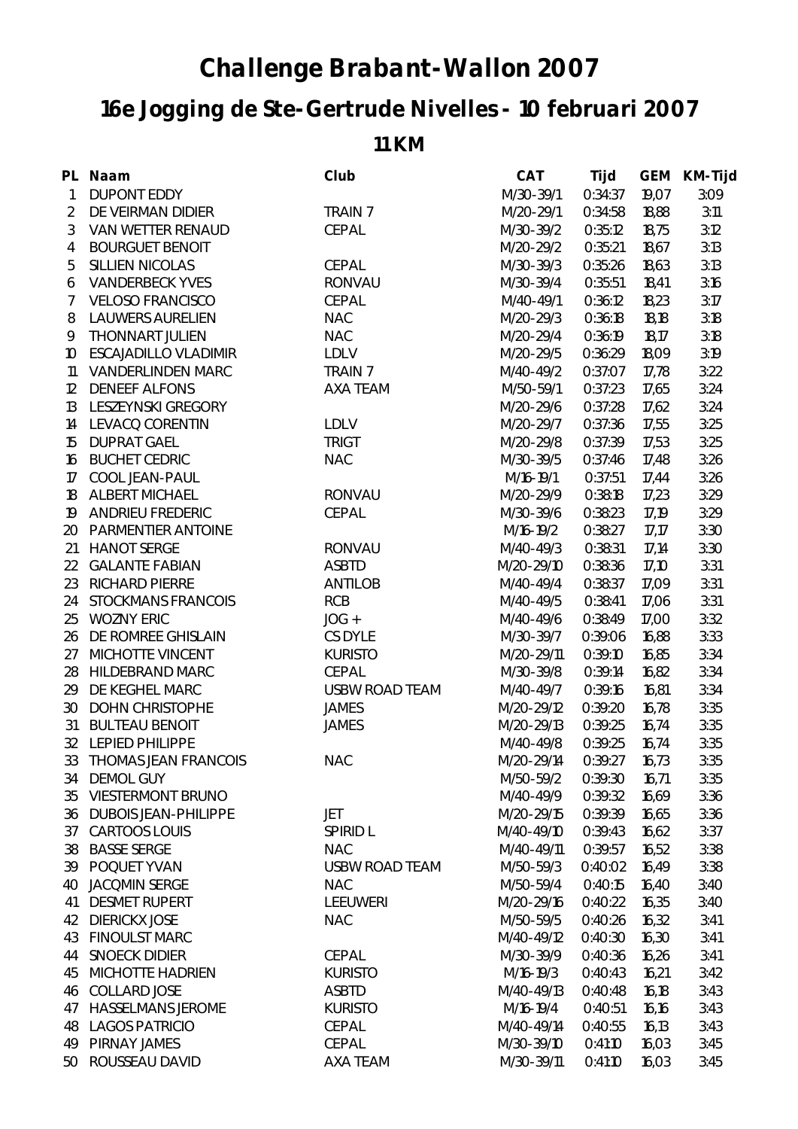## **Challenge Brabant-Wallon 2007**

## **16e Jogging de Ste-Gertrude Nivelles - 10 februari 2007**

## **11 KM**

|                | PL Naam                     | Club                  | <b>CAT</b> | Tijd    | <b>GEM</b> | <b>KM-Tijd</b> |
|----------------|-----------------------------|-----------------------|------------|---------|------------|----------------|
| $\mathbf{1}$   | <b>DUPONT EDDY</b>          |                       | M/30-39/1  | 0:34:37 | 19,07      | 3:09           |
| $\overline{2}$ | DE VEIRMAN DIDIER           | <b>TRAIN 7</b>        | M/20-29/1  | 0:34:58 | 18,88      | 3:11           |
| 3              | <b>VAN WETTER RENAUD</b>    | <b>CEPAL</b>          | M/30-39/2  | 0:35:12 | 18,75      | 3:12           |
| $\overline{4}$ | <b>BOURGUET BENOIT</b>      |                       | M/20-29/2  | 0:35:21 | 18,67      | 3:13           |
| 5              | <b>SILLIEN NICOLAS</b>      | <b>CEPAL</b>          | M/30-39/3  | 0:35:26 | 18,63      | 3:13           |
| 6              | <b>VANDERBECK YVES</b>      | <b>RONVAU</b>         | M/30-39/4  | 0:35:51 | 18,41      | 3:16           |
| $\mathcal{I}$  | <b>VELOSO FRANCISCO</b>     | <b>CEPAL</b>          | M/40-49/1  | 0:36:12 | 18,23      | 3:17           |
| 8              | <b>LAUWERS AURELIEN</b>     | <b>NAC</b>            | M/20-29/3  | 0:36:18 | 18,18      | 3:18           |
| 9              | <b>THONNART JULIEN</b>      | <b>NAC</b>            | M/20-29/4  | 0:36:19 | 18,17      | 3:18           |
| 10             | <b>ESCAJADILLO VLADIMIR</b> | <b>LDLV</b>           | M/20-29/5  | 0:36:29 | 18,09      | 3:19           |
| 11             | <b>VANDERLINDEN MARC</b>    | <b>TRAIN 7</b>        | M/40-49/2  | 0:37:07 | 17,78      | 3:22           |
| $12 \,$        | <b>DENEEF ALFONS</b>        | <b>AXA TEAM</b>       | M/50-59/1  | 0:37:23 | 17,65      | 3:24           |
| 13             | <b>LESZEYNSKI GREGORY</b>   |                       | M/20-29/6  | 0:37:28 | 17,62      | 3:24           |
| 14             | <b>LEVACQ CORENTIN</b>      | <b>LDLV</b>           | M/20-29/7  | 0:37:36 | 17,55      | 3:25           |
| 15             | <b>DUPRAT GAEL</b>          | <b>TRIGT</b>          | M/20-29/8  | 0:37:39 | 17,53      | 3:25           |
| 16             | <b>BUCHET CEDRIC</b>        | <b>NAC</b>            | M/30-39/5  | 0:37:46 | 17,48      | 3:26           |
| 17             | <b>COOL JEAN-PAUL</b>       |                       | M/16-19/1  | 0:37:51 | 17,44      | 3:26           |
| 18             | <b>ALBERT MICHAEL</b>       | <b>RONVAU</b>         | M/20-29/9  | 0:38:18 | 17,23      | 3:29           |
| 19             | <b>ANDRIEU FREDERIC</b>     | <b>CEPAL</b>          | M/30-39/6  | 0:38:23 | 17,19      | 3:29           |
| 20             | <b>PARMENTIER ANTOINE</b>   |                       | M/16-19/2  | 0:38:27 | 17,17      | 3:30           |
| 21             | <b>HANOT SERGE</b>          | <b>RONVAU</b>         | M/40-49/3  | 0:38:31 | 17,14      | 3:30           |
| 22             | <b>GALANTE FABIAN</b>       | <b>ASBTD</b>          | M/20-29/10 | 0:38:36 | 17,10      | 3:31           |
| 23             | <b>RICHARD PIERRE</b>       | <b>ANTILOB</b>        | M/40-49/4  | 0:38:37 | 17,09      | 3:31           |
| 24             | <b>STOCKMANS FRANCOIS</b>   | <b>RCB</b>            | M/40-49/5  | 0:38:41 | 17,06      | 3:31           |
| 25             | <b>WOZNY ERIC</b>           | $JOG +$               | M/40-49/6  | 0:38:49 | 17,00      | 3:32           |
| 26             | DE ROMREE GHISLAIN          | <b>CS DYLE</b>        | M/30-39/7  | 0:39:06 | 16,88      | 3:33           |
| 27             | MICHOTTE VINCENT            | <b>KURISTO</b>        | M/20-29/11 | 0:39:10 | 16,85      | 3:34           |
| 28             | <b>HILDEBRAND MARC</b>      | <b>CEPAL</b>          | M/30-39/8  | 0:39:14 | 16,82      | 3:34           |
| 29             | DE KEGHEL MARC              | <b>USBW ROAD TEAM</b> | M/40-49/7  | 0:39:16 | 16,81      | 3:34           |
| 30             | <b>DOHN CHRISTOPHE</b>      | <b>JAMES</b>          | M/20-29/12 | 0:39:20 | 16,78      | 3:35           |
| 31             | <b>BULTEAU BENOIT</b>       | <b>JAMES</b>          | M/20-29/13 | 0:39:25 | 16,74      | 3:35           |
|                | 32 LEPIED PHILIPPE          |                       | M/40-49/8  | 0:39:25 | 16,74      | 3:35           |
|                | 33 THOMAS JEAN FRANCOIS     | <b>NAC</b>            | M/20-29/14 | 0:39:27 | 16,73      | 3:35           |
| 34             | <b>DEMOL GUY</b>            |                       | M/50-59/2  | 0:39:30 | 16,71      | 3:35           |
| 35             | <b>VIESTERMONT BRUNO</b>    |                       | M/40-49/9  | 0:39:32 | 16,69      | 3:36           |
| 36             | <b>DUBOIS JEAN-PHILIPPE</b> | JET                   | M/20-29/15 | 0:39:39 | 16,65      | 3:36           |
| 37             | <b>CARTOOS LOUIS</b>        | <b>SPIRID L</b>       | M/40-49/10 | 0:39:43 | 16,62      | 3:37           |
| 38             | <b>BASSE SERGE</b>          | <b>NAC</b>            | M/40-49/11 | 0:39:57 | 16,52      | 3:38           |
| 39             | POQUET YVAN                 | <b>USBW ROAD TEAM</b> | M/50-59/3  | 0:40:02 | 16,49      | 3:38           |
| 40             | <b>JACQMIN SERGE</b>        | <b>NAC</b>            | M/50-59/4  | 0:40:15 | 16,40      | 3:40           |
| 41             | <b>DESMET RUPERT</b>        | <b>LEEUWERI</b>       | M/20-29/16 | 0:40:22 | 16,35      | 3:40           |
| 42             | <b>DIERICKX JOSE</b>        | <b>NAC</b>            | M/50-59/5  | 0:40:26 | 16,32      | 3:41           |
| 43             | <b>FINOULST MARC</b>        |                       | M/40-49/12 | 0:40:30 | 16,30      | 3:41           |
| 44             | <b>SNOECK DIDIER</b>        | <b>CEPAL</b>          | M/30-39/9  | 0:40:36 | 16,26      | 3:41           |
| 45             | <b>MICHOTTE HADRIEN</b>     | <b>KURISTO</b>        | M/16-19/3  | 0:40:43 | 16,21      | 3:42           |
| 46             | <b>COLLARD JOSE</b>         | <b>ASBTD</b>          | M/40-49/13 | 0:40:48 | 16,18      | 3:43           |
| 47             | <b>HASSELMANS JEROME</b>    | <b>KURISTO</b>        | M/16-19/4  | 0:40:51 | 16,16      | 3:43           |
| 48             | <b>LAGOS PATRICIO</b>       | CEPAL                 | M/40-49/14 | 0:40:55 | 16,13      | 3:43           |
| 49             | <b>PIRNAY JAMES</b>         | <b>CEPAL</b>          | M/30-39/10 | 0:41:10 | 16,03      | 3:45           |
| 50             | ROUSSEAU DAVID              | <b>AXA TEAM</b>       | M/30-39/11 | 0:41:10 | 16,03      | 3:45           |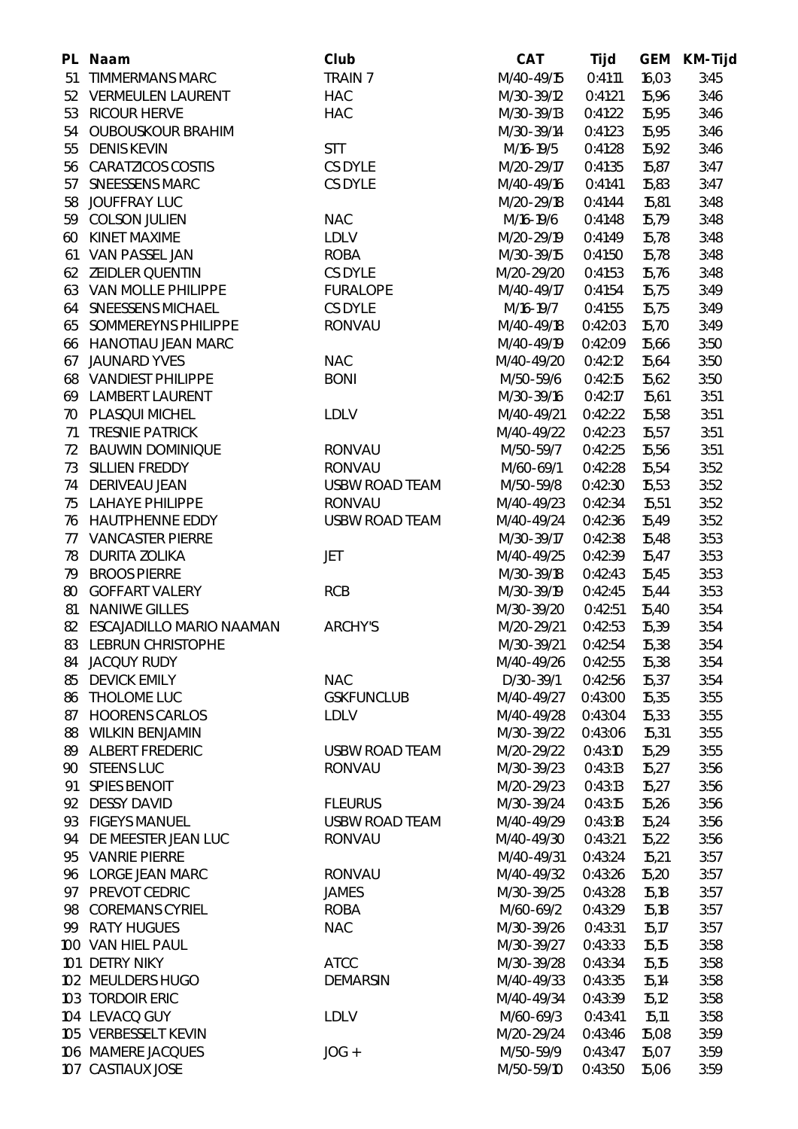|    | PL Naam                         | Club                  | <b>CAT</b> | <b>Tijd</b> | <b>GEM</b> | <b>KM-Tijd</b> |
|----|---------------------------------|-----------------------|------------|-------------|------------|----------------|
| 51 | <b>TIMMERMANS MARC</b>          | <b>TRAIN 7</b>        | M/40-49/15 | 0:41:11     | 16,03      | 3:45           |
| 52 | <b>VERMEULEN LAURENT</b>        | <b>HAC</b>            | M/30-39/12 | 0:41:21     | 15,96      | 3:46           |
|    | 53 RICOUR HERVE                 | <b>HAC</b>            | M/30-39/13 | 0:41:22     | 15,95      | 3:46           |
| 54 | <b>OUBOUSKOUR BRAHIM</b>        |                       | M/30-39/14 | 0:41:23     | 15,95      | 3:46           |
| 55 | <b>DENIS KEVIN</b>              | <b>STT</b>            | M/16-19/5  | 0:41:28     | 15,92      | 3:46           |
|    | 56 CARATZICOS COSTIS            | <b>CS DYLE</b>        | M/20-29/17 | 0:41:35     | 15,87      | 3:47           |
| 57 | <b>SNEESSENS MARC</b>           | <b>CS DYLE</b>        | M/40-49/16 | 0:41:41     | 15,83      | 3:47           |
| 58 | <b>JOUFFRAY LUC</b>             |                       | M/20-29/18 | 0:41:44     | 15,81      | 3:48           |
|    | 59 COLSON JULIEN                | <b>NAC</b>            | M/16-19/6  | 0:41:48     | 15,79      | 3:48           |
| 60 | KINET MAXIME                    | <b>LDLV</b>           | M/20-29/19 | 0:41:49     | 15,78      | 3:48           |
| 61 | VAN PASSEL JAN                  | <b>ROBA</b>           | M/30-39/15 | 0:41:50     | 15,78      | 3:48           |
|    | 62 ZEIDLER QUENTIN              | CS DYLE               | M/20-29/20 | 0:41:53     | 15,76      | 3:48           |
|    | 63 VAN MOLLE PHILIPPE           | <b>FURALOPE</b>       | M/40-49/17 | 0:41:54     | 15,75      | 3:49           |
| 64 | <b>SNEESSENS MICHAEL</b>        | <b>CS DYLE</b>        | M/16-19/7  | 0:41:55     | 15,75      | 3:49           |
| 65 | SOMMEREYNS PHILIPPE             | <b>RONVAU</b>         | M/40-49/18 | 0:42:03     | 15,70      | 3:49           |
|    | 66 HANOTIAU JEAN MARC           |                       | M/40-49/19 | 0:42:09     | 15,66      | 3:50           |
| 67 | <b>JAUNARD YVES</b>             | <b>NAC</b>            | M/40-49/20 | 0:42:12     | 15,64      | 3:50           |
|    | <b>68 VANDIEST PHILIPPE</b>     | <b>BONI</b>           | M/50-59/6  | 0:42:15     | 15,62      | 3:50           |
|    | 69 LAMBERT LAURENT              |                       | M/30-39/16 | 0:42:17     | 15,61      | 3:51           |
|    | 70 PLASQUI MICHEL               | <b>LDLV</b>           | M/40-49/21 | 0:42:22     | 15,58      | 3:51           |
| 71 | <b>TRESNIE PATRICK</b>          |                       | M/40-49/22 | 0:42:23     | 15,57      | 3:51           |
| 72 | <b>BAUWIN DOMINIQUE</b>         | <b>RONVAU</b>         | M/50-59/7  | 0:42:25     | 15,56      | 3:51           |
| 73 | SILLIEN FREDDY                  | <b>RONVAU</b>         | M/60-69/1  | 0:42:28     | 15,54      | 3:52           |
| 74 | <b>DERIVEAU JEAN</b>            | <b>USBW ROAD TEAM</b> | M/50-59/8  | 0:42:30     | 15,53      | 3:52           |
| 75 | <b>LAHAYE PHILIPPE</b>          | <b>RONVAU</b>         | M/40-49/23 | 0:42:34     | 15,51      | 3:52           |
| 76 | <b>HAUTPHENNE EDDY</b>          | <b>USBW ROAD TEAM</b> | M/40-49/24 | 0:42:36     | 15,49      | 3:52           |
| 77 | <b>VANCASTER PIERRE</b>         |                       | M/30-39/17 | 0:42:38     | 15,48      | 3:53           |
| 78 | <b>DURITA ZOLIKA</b>            | JET                   | M/40-49/25 | 0:42:39     | 15,47      | 3:53           |
| 79 | <b>BROOS PIERRE</b>             |                       | M/30-39/18 | 0:42:43     | 15,45      | 3:53           |
| 80 | <b>GOFFART VALERY</b>           | <b>RCB</b>            | M/30-39/19 | 0:42:45     | 15,44      | 3:53           |
| 81 | <b>NANIWE GILLES</b>            |                       | M/30-39/20 | 0:42:51     | 15,40      | 3:54           |
| 82 | <b>ESCAJADILLO MARIO NAAMAN</b> | <b>ARCHY'S</b>        | M/20-29/21 | 0:42:53     | 15,39      | 3:54           |
| 83 | <b>LEBRUN CHRISTOPHE</b>        |                       | M/30-39/21 | 0:42:54     | 15,38      | 3:54           |
| 84 | <b>JACQUY RUDY</b>              |                       | M/40-49/26 | 0:42:55     | 15,38      | 3:54           |
| 85 | <b>DEVICK EMILY</b>             | <b>NAC</b>            | D/30-39/1  | 0:42:56     | 15,37      | 3:54           |
| 86 | THOLOME LUC                     | <b>GSKFUNCLUB</b>     | M/40-49/27 | 0:43:00     | 15,35      | 3:55           |
| 87 | <b>HOORENS CARLOS</b>           | <b>LDLV</b>           | M/40-49/28 | 0:43:04     | 15,33      | 3:55           |
| 88 | <b>WILKIN BENJAMIN</b>          |                       | M/30-39/22 | 0:43:06     | 15,31      | 3:55           |
| 89 | <b>ALBERT FREDERIC</b>          | <b>USBW ROAD TEAM</b> | M/20-29/22 | 0:43:10     | 15,29      | 3:55           |
| 90 | <b>STEENS LUC</b>               | <b>RONVAU</b>         | M/30-39/23 | 0:43:13     | 15,27      | 3:56           |
| 91 | <b>SPIES BENOIT</b>             |                       | M/20-29/23 | 0:43:13     | 15,27      | 3:56           |
| 92 | <b>DESSY DAVID</b>              | <b>FLEURUS</b>        | M/30-39/24 | 0:43:15     | 15,26      | 3:56           |
| 93 | <b>FIGEYS MANUEL</b>            | <b>USBW ROAD TEAM</b> | M/40-49/29 | 0:43:18     | 15,24      | 3:56           |
| 94 | DE MEESTER JEAN LUC             | <b>RONVAU</b>         | M/40-49/30 | 0:43:21     | 15,22      | 3:56           |
| 95 | <b>VANRIE PIERRE</b>            |                       | M/40-49/31 | 0:43:24     | 15,21      | 3:57           |
|    | 96 LORGE JEAN MARC              | <b>RONVAU</b>         | M/40-49/32 | 0:43:26     | 15,20      | 3:57           |
| 97 | PREVOT CEDRIC                   | <b>JAMES</b>          | M/30-39/25 | 0:43:28     | 15,18      | 3:57           |
| 98 | <b>COREMANS CYRIEL</b>          | <b>ROBA</b>           | M/60-69/2  | 0:43:29     | 15,18      | 3:57           |
|    | 99 RATY HUGUES                  | <b>NAC</b>            | M/30-39/26 | 0:43:31     | 15,17      | 3:57           |
|    | 100 VAN HIEL PAUL               |                       | M/30-39/27 | 0:43:33     | 15,15      | 3:58           |
|    | 101 DETRY NIKY                  | <b>ATCC</b>           | M/30-39/28 | 0:43:34     | 15,15      | 3:58           |
|    | 102 MEULDERS HUGO               | <b>DEMARSIN</b>       | M/40-49/33 | 0:43:35     | 15,14      | 3:58           |
|    | 103 TORDOIR ERIC                |                       | M/40-49/34 | 0:43:39     | 15,12      | 3:58           |
|    | 104 LEVACQ GUY                  | <b>LDLV</b>           | M/60-69/3  | 0:43:41     | 15,11      | 3:58           |
|    | 105 VERBESSELT KEVIN            |                       | M/20-29/24 | 0:43:46     | 15,08      | 3:59           |
|    | 106 MAMERE JACQUES              | $JOG +$               | M/50-59/9  | 0:43:47     | 15,07      | 3:59           |
|    | 107 CASTIAUX JOSE               |                       | M/50-59/10 | 0:43:50     | 15,06      | 3:59           |
|    |                                 |                       |            |             |            |                |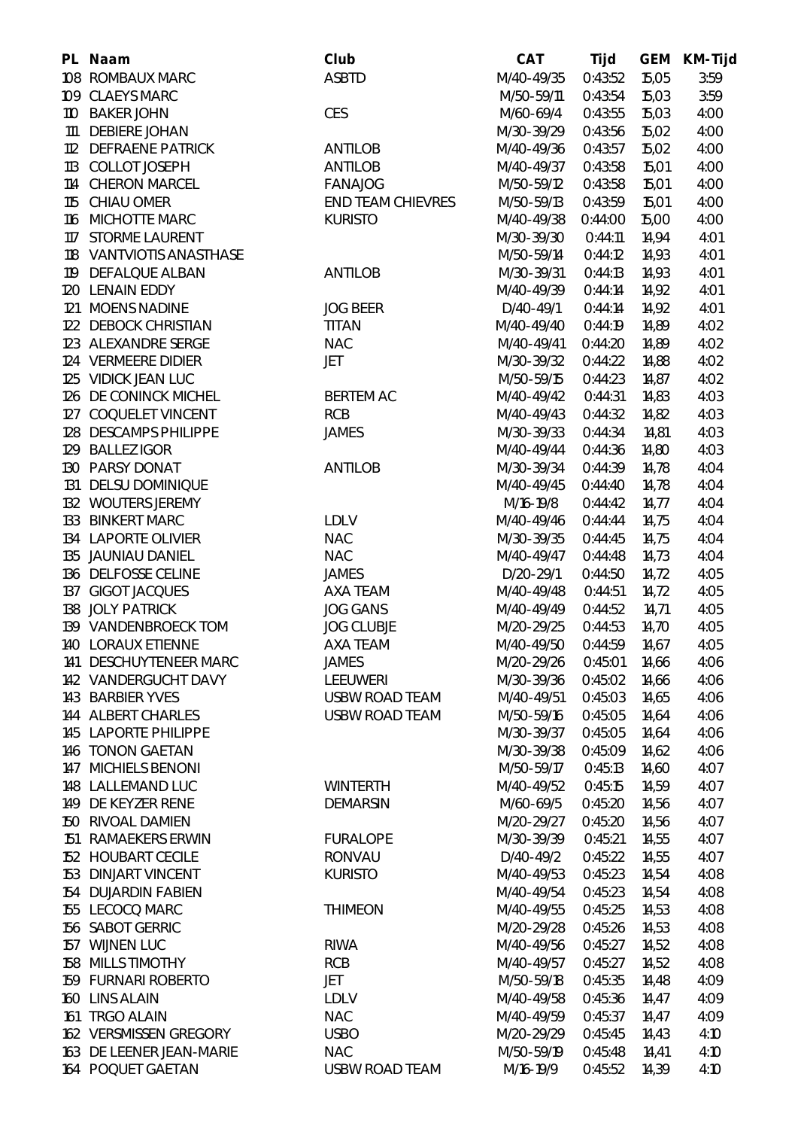| PL. | <b>Naam</b>                | Club                     | <b>CAT</b> | Tijd    | <b>GEM</b> | <b>KM-Tijd</b> |
|-----|----------------------------|--------------------------|------------|---------|------------|----------------|
|     | 108 ROMBAUX MARC           | <b>ASBTD</b>             | M/40-49/35 | 0:43:52 | 15,05      | 3:59           |
|     | 109 CLAEYS MARC            |                          | M/50-59/11 | 0:43:54 | 15,03      | 3:59           |
|     | 110 BAKER JOHN             | <b>CES</b>               | M/60-69/4  | 0:43:55 | 15,03      | 4:00           |
| 111 | <b>DEBIERE JOHAN</b>       |                          | M/30-39/29 | 0:43:56 | 15,02      | 4:00           |
|     | 112 DEFRAENE PATRICK       | <b>ANTILOB</b>           | M/40-49/36 | 0:43:57 | 15,02      | 4:00           |
|     | 113 COLLOT JOSEPH          | <b>ANTILOB</b>           | M/40-49/37 | 0:43:58 | 15,01      | 4:00           |
|     | 114 CHERON MARCEL          | <b>FANAJOG</b>           | M/50-59/12 | 0:43:58 | 15,01      | 4:00           |
|     | 115 CHIAU OMER             | <b>END TEAM CHIEVRES</b> | M/50-59/13 | 0:43:59 | 15,01      | 4:00           |
|     | 116 MICHOTTE MARC          | <b>KURISTO</b>           | M/40-49/38 | 0:44:00 | 15,00      | 4:00           |
|     | 117 STORME LAURENT         |                          | M/30-39/30 | 0:44:11 | 14,94      | 4:01           |
|     | 118 VANTVIOTIS ANASTHASE   |                          | M/50-59/14 | 0:44:12 | 14,93      | 4:01           |
|     | 119 DEFALQUE ALBAN         | <b>ANTILOB</b>           | M/30-39/31 | 0:44:13 | 14,93      | 4:01           |
|     | 120 LENAIN EDDY            |                          | M/40-49/39 | 0:44:14 | 14,92      | 4:01           |
|     | 121 MOENS NADINE           | <b>JOG BEER</b>          | D/40-49/1  | 0:44:14 | 14,92      | 4:01           |
|     | 122 DEBOCK CHRISTIAN       | <b>TITAN</b>             | M/40-49/40 | 0:44:19 | 14,89      | 4:02           |
|     | 123 ALEXANDRE SERGE        | <b>NAC</b>               | M/40-49/41 | 0:44:20 | 14,89      | 4:02           |
|     | 124 VERMEERE DIDIER        | <b>JET</b>               | M/30-39/32 | 0:44:22 | 14,88      | 4:02           |
|     | 125 VIDICK JEAN LUC        |                          | M/50-59/15 | 0:44:23 | 14,87      | 4:02           |
|     | 126 DE CONINCK MICHEL      | <b>BERTEM AC</b>         | M/40-49/42 | 0:44:31 | 14,83      | 4:03           |
|     | 127 COQUELET VINCENT       | <b>RCB</b>               | M/40-49/43 | 0:44:32 | 14,82      | 4:03           |
|     | 128 DESCAMPS PHILIPPE      | <b>JAMES</b>             | M/30-39/33 | 0:44:34 | 14,81      | 4:03           |
|     | 129 BALLEZ IGOR            |                          | M/40-49/44 | 0:44:36 | 14,80      | 4:03           |
|     | 130 PARSY DONAT            | <b>ANTILOB</b>           | M/30-39/34 | 0:44:39 | 14,78      | 4:04           |
|     | 131 DELSU DOMINIQUE        |                          | M/40-49/45 | 0:44:40 | 14,78      | 4:04           |
|     | 132 WOUTERS JEREMY         |                          | M/16-19/8  | 0:44:42 | 14,77      | 4:04           |
|     | 133 BINKERT MARC           | <b>LDLV</b>              | M/40-49/46 | 0:44:44 | 14,75      | 4:04           |
|     | 134 LAPORTE OLIVIER        | <b>NAC</b>               | M/30-39/35 | 0:44:45 | 14,75      | 4:04           |
|     | 135 JAUNIAU DANIEL         | <b>NAC</b>               | M/40-49/47 | 0:44:48 | 14,73      | 4:04           |
|     | 136 DELFOSSE CELINE        | <b>JAMES</b>             | D/20-29/1  | 0:44:50 | 14,72      | 4:05           |
|     | 137 GIGOT JACQUES          | <b>AXA TEAM</b>          | M/40-49/48 | 0:44:51 | 14,72      | 4:05           |
|     | 138 JOLY PATRICK           | <b>JOG GANS</b>          | M/40-49/49 | 0:44:52 | 14,71      | 4:05           |
|     | 139 VANDENBROECK TOM       | <b>JOG CLUBJE</b>        | M/20-29/25 | 0:44:53 | 14,70      | 4:05           |
|     | <b>140 LORAUX ETIENNE</b>  | <b>AXA TEAM</b>          | M/40-49/50 | 0:44:59 | 14.67      | 4:05           |
| 141 | <b>DESCHUYTENEER MARC</b>  | <b>JAMES</b>             | M/20-29/26 | 0:45:01 | 14,66      | 4:06           |
|     | 142 VANDERGUCHT DAVY       | <b>LEEUWERI</b>          | M/30-39/36 | 0:45:02 | 14,66      | 4:06           |
|     | 143 BARBIER YVES           | <b>USBW ROAD TEAM</b>    | M/40-49/51 | 0:45:03 | 14,65      | 4:06           |
|     | 144 ALBERT CHARLES         | <b>USBW ROAD TEAM</b>    | M/50-59/16 | 0:45:05 | 14,64      | 4:06           |
|     | 145 LAPORTE PHILIPPE       |                          | M/30-39/37 | 0:45:05 | 14,64      | 4:06           |
|     | 146 TONON GAETAN           |                          | M/30-39/38 | 0:45:09 | 14,62      | 4:06           |
| 147 | <b>MICHIELS BENONI</b>     |                          | M/50-59/17 | 0:45:13 | 14,60      | 4:07           |
|     | 148 LALLEMAND LUC          | <b>WINTERTH</b>          | M/40-49/52 | 0:45:15 | 14,59      | 4:07           |
|     | 149 DE KEYZER RENE         | <b>DEMARSIN</b>          | M/60-69/5  | 0:45:20 | 14,56      | 4:07           |
|     | 150 RIVOAL DAMIEN          |                          | M/20-29/27 | 0:45:20 | 14,56      | 4:07           |
|     | 151 RAMAEKERS ERWIN        | <b>FURALOPE</b>          | M/30-39/39 | 0:45:21 | 14,55      | 4:07           |
|     | 152 HOUBART CECILE         | <b>RONVAU</b>            | D/40-49/2  | 0:45:22 | 14,55      | 4:07           |
|     | <b>153 DINJART VINCENT</b> | <b>KURISTO</b>           | M/40-49/53 | 0:45:23 | 14,54      | 4:08           |
|     | 154 DUJARDIN FABIEN        |                          | M/40-49/54 | 0:45:23 | 14,54      | 4:08           |
|     | 155 LECOCQ MARC            | <b>THIMEON</b>           | M/40-49/55 | 0:45:25 | 14,53      | 4:08           |
|     | 156 SABOT GERRIC           |                          | M/20-29/28 | 0:45:26 | 14,53      | 4:08           |
|     | 157 WIJNEN LUC             | <b>RIWA</b>              | M/40-49/56 | 0:45:27 | 14,52      | 4:08           |
| 158 | <b>MILLS TIMOTHY</b>       | <b>RCB</b>               | M/40-49/57 | 0:45:27 | 14,52      | 4:08           |
|     | 159 FURNARI ROBERTO        | JET                      | M/50-59/18 | 0:45:35 | 14,48      | 4:09           |
|     | 160 LINS ALAIN             | <b>LDLV</b>              | M/40-49/58 | 0:45:36 | 14,47      | 4:09           |
|     | 161 TRGO ALAIN             | <b>NAC</b>               | M/40-49/59 | 0:45:37 | 14,47      | 4:09           |
|     | 162 VERSMISSEN GREGORY     | <b>USBO</b>              | M/20-29/29 | 0:45:45 | 14,43      | 4:10           |
|     | 163 DE LEENER JEAN-MARIE   | <b>NAC</b>               | M/50-59/19 | 0:45:48 | 14,41      | 4:10           |
|     | 164 POQUET GAETAN          | <b>USBW ROAD TEAM</b>    | M/16-19/9  | 0:45:52 | 14,39      | 4:10           |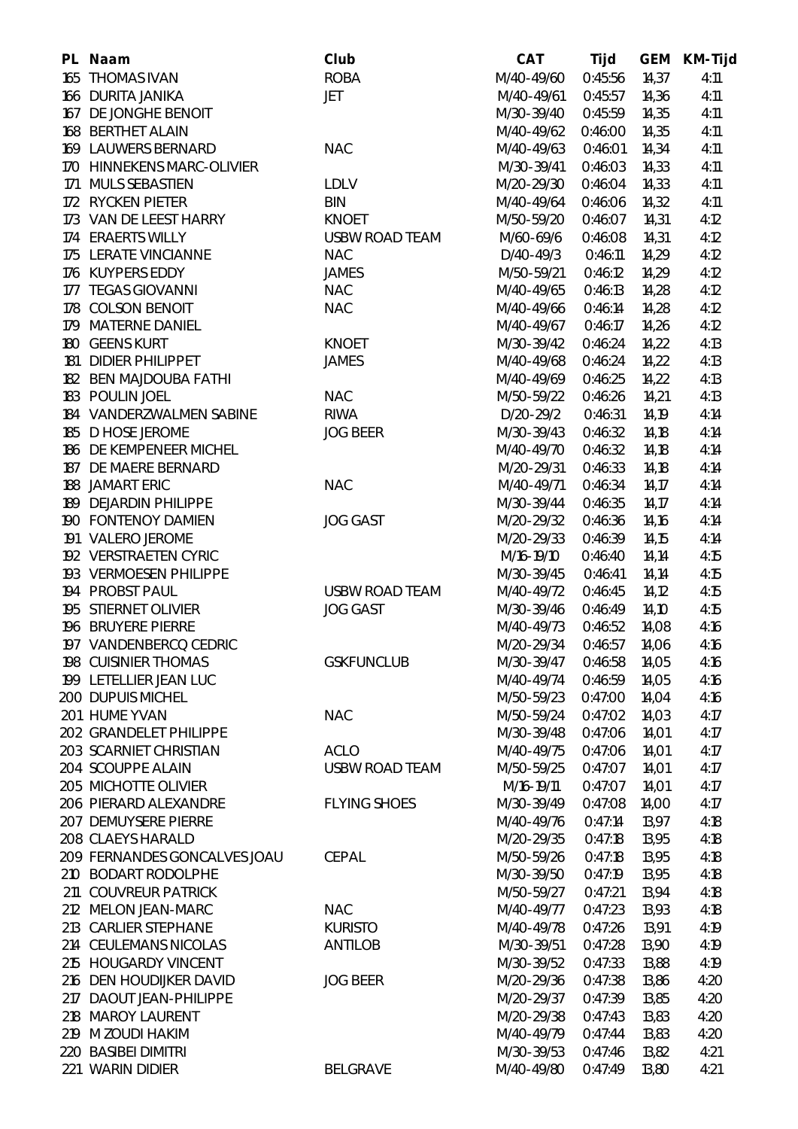|     | PL Naam                      | Club                  | <b>CAT</b> | Tijd    | <b>GEM</b> | <b>KM-Tijd</b> |
|-----|------------------------------|-----------------------|------------|---------|------------|----------------|
|     | 165 THOMAS IVAN              | <b>ROBA</b>           | M/40-49/60 | 0:45:56 | 14,37      | 4:11           |
|     | 166 DURITA JANIKA            | <b>JET</b>            | M/40-49/61 | 0:45:57 | 14,36      | 4:11           |
|     | 167 DE JONGHE BENOIT         |                       | M/30-39/40 | 0:45:59 | 14,35      | 4:11           |
|     | 168 BERTHET ALAIN            |                       | M/40-49/62 | 0:46:00 | 14,35      | 4:11           |
|     | 169 LAUWERS BERNARD          | <b>NAC</b>            | M/40-49/63 | 0:46:01 | 14,34      | 4:11           |
|     | 170 HINNEKENS MARC-OLIVIER   |                       | M/30-39/41 | 0:46:03 | 14,33      | 4:11           |
|     | 171 MULS SEBASTIEN           | <b>LDLV</b>           | M/20-29/30 | 0:46:04 | 14,33      | 4:11           |
|     | 172 RYCKEN PIETER            | <b>BIN</b>            | M/40-49/64 | 0:46:06 | 14,32      | 4:11           |
|     | 173 VAN DE LEEST HARRY       | <b>KNOET</b>          | M/50-59/20 | 0:46:07 | 14,31      | 4:12           |
|     | 174 ERAERTS WILLY            | <b>USBW ROAD TEAM</b> | M/60-69/6  | 0:46:08 | 14,31      | 4:12           |
|     | 175 LERATE VINCIANNE         | <b>NAC</b>            | D/40-49/3  | 0:46:11 | 14,29      | 4:12           |
|     | 176 KUYPERS EDDY             | <b>JAMES</b>          | M/50-59/21 | 0:46:12 | 14,29      | 4:12           |
|     | 177 TEGAS GIOVANNI           | <b>NAC</b>            | M/40-49/65 | 0:46:13 | 14,28      | 4:12           |
|     | 178 COLSON BENOIT            | <b>NAC</b>            | M/40-49/66 | 0:46:14 | 14,28      | 4:12           |
|     | 179 MATERNE DANIEL           |                       | M/40-49/67 | 0:46:17 | 14,26      | 4:12           |
|     | 180 GEENS KURT               | <b>KNOET</b>          | M/30-39/42 | 0:46:24 | 14,22      | 4:13           |
|     | 181 DIDIER PHILIPPET         | <b>JAMES</b>          | M/40-49/68 | 0:46:24 | 14,22      | 4:13           |
|     | 182 BEN MAJDOUBA FATHI       |                       | M/40-49/69 | 0:46:25 | 14,22      | 4:13           |
|     | 183 POULIN JOEL              | <b>NAC</b>            | M/50-59/22 | 0:46:26 | 14,21      | 4:13           |
|     | 184 VANDERZWALMEN SABINE     | <b>RIWA</b>           | D/20-29/2  | 0:46:31 | 14,19      | 4:14           |
|     | 185 D HOSE JEROME            | <b>JOG BEER</b>       | M/30-39/43 | 0:46:32 | 14,18      | 4:14           |
|     | 186 DE KEMPENEER MICHEL      |                       | M/40-49/70 | 0:46:32 | 14,18      | 4:14           |
|     | 187 DE MAERE BERNARD         |                       | M/20-29/31 | 0:46:33 | 14,18      | 4:14           |
|     | 188 JAMART ERIC              | <b>NAC</b>            | M/40-49/71 | 0:46:34 | 14,17      | 4:14           |
|     | 189 DEJARDIN PHILIPPE        |                       | M/30-39/44 | 0:46:35 | 14,17      | 4:14           |
|     | 190 FONTENOY DAMIEN          | <b>JOG GAST</b>       | M/20-29/32 | 0:46:36 | 14,16      | 4:14           |
|     | 191 VALERO JEROME            |                       | M/20-29/33 | 0:46:39 | 14,15      | 4:14           |
|     | 192 VERSTRAETEN CYRIC        |                       | M/16-19/10 | 0:46:40 | 14,14      | 4:15           |
|     | 193 VERMOESEN PHILIPPE       |                       | M/30-39/45 | 0:46:41 | 14,14      | 4:15           |
|     | 194 PROBST PAUL              | <b>USBW ROAD TEAM</b> | M/40-49/72 | 0:46:45 | 14,12      | 4:15           |
|     | 195 STIERNET OLIVIER         | <b>JOG GAST</b>       | M/30-39/46 | 0:46:49 | 14,10      | 4:15           |
|     | 196 BRUYERE PIERRE           |                       | M/40-49/73 | 0:46:52 | 14,08      | 4:16           |
|     | 197 VANDENBERCQ CEDRIC       |                       | M/20-29/34 | 0:46:57 | 14,06      | 4:16           |
|     | 198 CUISINIER THOMAS         | <b>GSKFUNCLUB</b>     | M/30-39/47 | 0:46:58 | 14,05      | 4:16           |
|     | 199 LETELLIER JEAN LUC       |                       | M/40-49/74 | 0:46:59 | 14,05      | 4:16           |
|     | <b>200 DUPUIS MICHEL</b>     |                       | M/50-59/23 | 0:47:00 | 14,04      | 4:16           |
|     | 201 HUME YVAN                | <b>NAC</b>            | M/50-59/24 | 0:47:02 | 14,03      | 4:17           |
|     | 202 GRANDELET PHILIPPE       |                       | M/30-39/48 | 0:47:06 | 14,01      | 4:17           |
|     | 203 SCARNIET CHRISTIAN       | <b>ACLO</b>           | M/40-49/75 | 0:47:06 | 14,01      | 4:17           |
|     | 204 SCOUPPE ALAIN            | <b>USBW ROAD TEAM</b> | M/50-59/25 | 0:47:07 | 14,01      | 4:17           |
|     | 205 MICHOTTE OLIVIER         |                       | M/16-19/11 | 0:47:07 | 14,01      | 4:17           |
|     | 206 PIERARD ALEXANDRE        | <b>FLYING SHOES</b>   | M/30-39/49 | 0:47:08 | 14,00      | 4:17           |
|     | 207 DEMUYSERE PIERRE         |                       | M/40-49/76 | 0:47:14 | 13,97      | 4:18           |
|     | 208 CLAEYS HARALD            |                       | M/20-29/35 | 0:47:18 | 13,95      | 4:18           |
|     | 209 FERNANDES GONCALVES JOAU | <b>CEPAL</b>          | M/50-59/26 | 0:47:18 | 13,95      | 4:18           |
|     | 210 BODART RODOLPHE          |                       | M/30-39/50 | 0:47:19 | 13,95      | 4:18           |
|     | 211 COUVREUR PATRICK         |                       | M/50-59/27 | 0:47:21 | 13,94      | 4:18           |
|     | 212 MELON JEAN-MARC          | <b>NAC</b>            | M/40-49/77 | 0:47:23 | 13,93      | 4:18           |
| 213 | <b>CARLIER STEPHANE</b>      | <b>KURISTO</b>        | M/40-49/78 | 0:47:26 | 13,91      | 4:19           |
|     | 214 CEULEMANS NICOLAS        | <b>ANTILOB</b>        | M/30-39/51 | 0:47:28 | 13,90      | 4:19           |
|     | 215 HOUGARDY VINCENT         |                       | M/30-39/52 | 0:47:33 | 13,88      | 4:19           |
|     | 216 DEN HOUDIJKER DAVID      | <b>JOG BEER</b>       | M/20-29/36 | 0:47:38 | 13,86      | 4:20           |
|     | 217 DAOUT JEAN-PHILIPPE      |                       | M/20-29/37 | 0:47:39 | 13,85      | 4:20           |
| 218 | <b>MAROY LAURENT</b>         |                       | M/20-29/38 | 0:47:43 | 13,83      | 4:20           |
|     | 219 M ZOUDI HAKIM            |                       | M/40-49/79 | 0:47:44 | 13,83      | 4:20           |
|     | 220 BASIBEI DIMITRI          |                       | M/30-39/53 | 0:47:46 | 13,82      | 4:21           |
|     | 221 WARIN DIDIER             | <b>BELGRAVE</b>       | M/40-49/80 | 0:47:49 | 13,80      | 4:21           |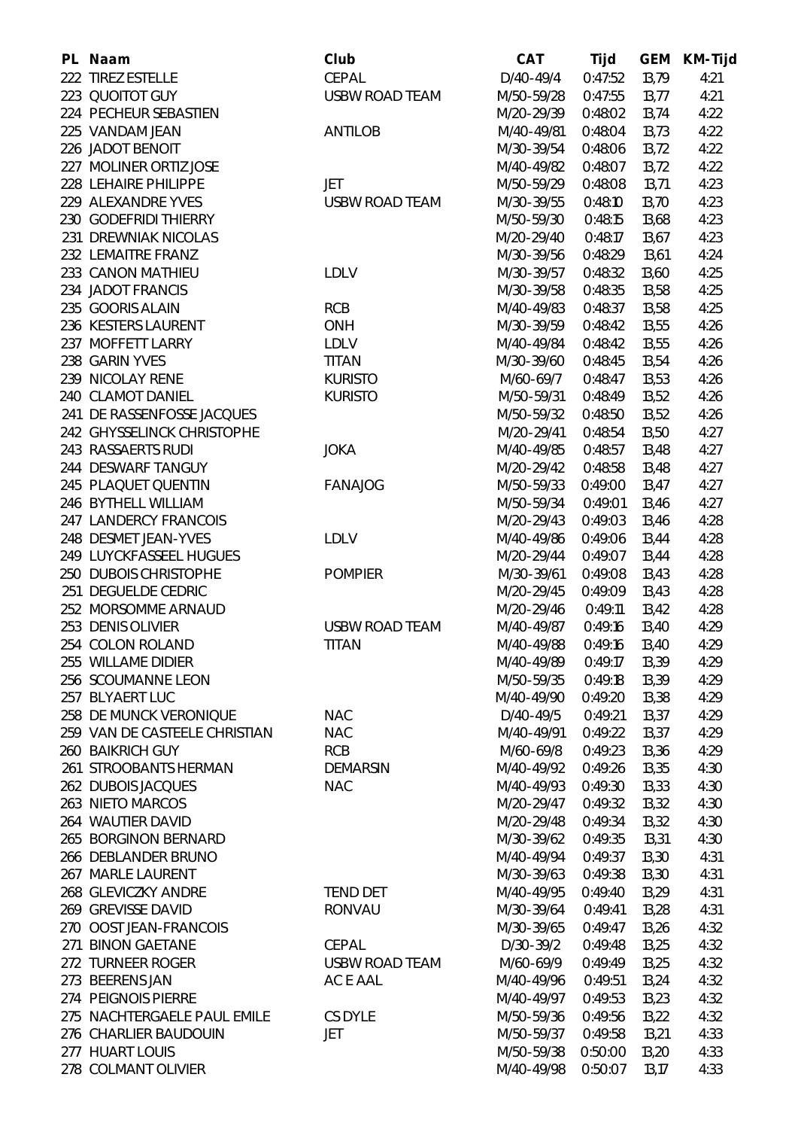| PL Naam                                | Club                                  | <b>CAT</b> | <b>Tijd</b>        | <b>GEM</b> | <b>KM-Tijd</b> |
|----------------------------------------|---------------------------------------|------------|--------------------|------------|----------------|
| 222 TIREZ ESTELLE                      | <b>CEPAL</b>                          | D/40-49/4  | 0:47:52            | 13,79      | 4:21           |
| 223 QUOITOT GUY                        | <b>USBW ROAD TEAM</b>                 | M/50-59/28 | 0:47:55            | 13,77      | 4:21           |
| 224 PECHEUR SEBASTIEN                  |                                       | M/20-29/39 | 0:48:02            | 13,74      | 4:22           |
| 225 VANDAM JEAN                        | <b>ANTILOB</b>                        | M/40-49/81 | 0:48:04            | 13,73      | 4:22           |
| 226 JADOT BENOIT                       |                                       | M/30-39/54 | 0:48:06            | 13,72      | 4:22           |
| 227 MOLINER ORTIZ JOSE                 |                                       | M/40-49/82 | 0:48:07            | 13,72      | 4:22           |
| 228 LEHAIRE PHILIPPE                   | <b>JET</b>                            | M/50-59/29 | 0:48:08            | 13,71      | 4:23           |
| 229 ALEXANDRE YVES                     | <b>USBW ROAD TEAM</b>                 | M/30-39/55 | 0:48:10            | 13,70      | 4:23           |
| 230 GODEFRIDI THIERRY                  |                                       | M/50-59/30 | 0:48:15            | 13,68      | 4:23           |
| 231 DREWNIAK NICOLAS                   |                                       | M/20-29/40 | 0:48:17            | 13,67      | 4:23           |
| 232 LEMAITRE FRANZ                     |                                       | M/30-39/56 | 0:48:29            | 13,61      | 4:24           |
| 233 CANON MATHIEU                      | <b>LDLV</b>                           | M/30-39/57 | 0:48:32            | 13,60      | 4:25           |
| 234 JADOT FRANCIS                      |                                       | M/30-39/58 | 0:48:35            | 13,58      | 4:25           |
| 235 GOORIS ALAIN                       | <b>RCB</b>                            | M/40-49/83 | 0:48:37            | 13,58      | 4:25           |
| 236 KESTERS LAURENT                    | <b>ONH</b>                            | M/30-39/59 | 0:48:42            | 13,55      | 4:26           |
| 237 MOFFETT LARRY                      | <b>LDLV</b>                           | M/40-49/84 | 0:48:42            | 13,55      | 4:26           |
| 238 GARIN YVES                         | <b>TITAN</b>                          | M/30-39/60 | 0:48:45            | 13,54      | 4:26           |
| 239 NICOLAY RENE                       | <b>KURISTO</b>                        | M/60-69/7  | 0:48:47            | 13,53      | 4:26           |
| 240 CLAMOT DANIEL                      | <b>KURISTO</b>                        | M/50-59/31 | 0:48:49            | 13,52      | 4:26           |
| 241 DE RASSENFOSSE JACQUES             |                                       | M/50-59/32 | 0:48:50            | 13,52      | 4:26           |
| 242 GHYSSELINCK CHRISTOPHE             |                                       | M/20-29/41 | 0:48:54            | 13,50      | 4:27           |
| 243 RASSAERTS RUDI                     | <b>JOKA</b>                           | M/40-49/85 | 0:48:57            | 13,48      | 4:27           |
| 244 DESWARF TANGUY                     |                                       | M/20-29/42 | 0:48:58            | 13,48      | 4:27           |
| 245 PLAQUET QUENTIN                    | <b>FANAJOG</b>                        | M/50-59/33 | 0:49:00            | 13,47      | 4:27           |
| 246 BYTHELL WILLIAM                    |                                       | M/50-59/34 | 0:49:01            | 13,46      | 4:27           |
| 247 LANDERCY FRANCOIS                  |                                       | M/20-29/43 | 0:49:03            | 13,46      | 4:28           |
| 248 DESMET JEAN-YVES                   | <b>LDLV</b>                           | M/40-49/86 | 0:49:06            | 13,44      | 4:28           |
| 249 LUYCKFASSEEL HUGUES                |                                       | M/20-29/44 | 0:49:07            | 13,44      | 4:28           |
| 250 DUBOIS CHRISTOPHE                  | <b>POMPIER</b>                        | M/30-39/61 | 0:49:08            | 13,43      | 4:28           |
| 251 DEGUELDE CEDRIC                    |                                       | M/20-29/45 | 0:49:09            | 13,43      | 4:28           |
| 252 MORSOMME ARNAUD                    |                                       | M/20-29/46 | 0:49:11            | 13,42      | 4:28           |
| 253 DENIS OLIVIER                      | <b>USBW ROAD TEAM</b>                 | M/40-49/87 | 0:49:16            | 13,40      | 4:29           |
| 254 COLON ROLAND                       | <b>TITAN</b>                          | M/40-49/88 | 0:49:16            | 13,40      | 4:29           |
| 255 WILLAME DIDIER                     |                                       | M/40-49/89 | 0:49:17            | 13,39      | 4:29           |
| 256 SCOUMANNE LEON                     |                                       | M/50-59/35 | 0:49:18            | 13,39      | 4:29           |
| 257 BLYAERT LUC                        |                                       | M/40-49/90 | 0:49:20            | 13,38      | 4:29           |
| 258 DE MUNCK VERONIQUE                 | <b>NAC</b>                            | D/40-49/5  | 0:49:21            | 13,37      | 4:29           |
| 259 VAN DE CASTEELE CHRISTIAN          | <b>NAC</b>                            | M/40-49/91 | 0:49:22            | 13,37      | 4:29           |
| <b>260 BAIKRICH GUY</b>                | <b>RCB</b>                            | M/60-69/8  | 0:49:23            | 13,36      | 4:29           |
| 261 STROOBANTS HERMAN                  | <b>DEMARSIN</b>                       | M/40-49/92 | 0:49:26            | 13,35      | 4:30           |
| 262 DUBOIS JACQUES                     | <b>NAC</b>                            | M/40-49/93 | 0:49:30            | 13,33      | 4:30           |
| 263 NIETO MARCOS                       |                                       | M/20-29/47 | 0:49:32            | 13,32      | 4:30           |
| <b>264 WAUTIER DAVID</b>               |                                       | M/20-29/48 | 0:49:34            | 13,32      | 4:30           |
| 265 BORGINON BERNARD                   |                                       | M/30-39/62 | 0:49:35            | 13,31      | 4:30           |
| 266 DEBLANDER BRUNO                    |                                       | M/40-49/94 | 0:49:37            | 13,30      | 4:31           |
| 267 MARLE LAURENT                      |                                       | M/30-39/63 | 0:49:38            | 13,30      | 4:31           |
| 268 GLEVICZKY ANDRE                    | <b>TEND DET</b>                       | M/40-49/95 | 0:49:40            | 13,29      | 4:31           |
| 269 GREVISSE DAVID                     | <b>RONVAU</b>                         | M/30-39/64 |                    |            |                |
| 270 OOST JEAN-FRANCOIS                 |                                       | M/30-39/65 | 0:49:41<br>0:49:47 | 13,28      | 4:31           |
| 271 BINON GAETANE                      |                                       | D/30-39/2  |                    | 13,26      | 4:32           |
| 272 TURNEER ROGER                      | <b>CEPAL</b><br><b>USBW ROAD TEAM</b> | M/60-69/9  | 0:49:48<br>0:49:49 | 13,25      | 4:32           |
|                                        |                                       |            |                    | 13,25      | 4:32           |
| 273 BEERENS JAN<br>274 PEIGNOIS PIERRE | AC E AAL                              | M/40-49/96 | 0:49:51            | 13,24      | 4:32           |
|                                        |                                       | M/40-49/97 | 0:49:53            | 13,23      | 4:32           |
| 275 NACHTERGAELE PAUL EMILE            | <b>CS DYLE</b>                        | M/50-59/36 | 0:49:56            | 13,22      | 4:32           |
| 276 CHARLIER BAUDOUIN                  | JET                                   | M/50-59/37 | 0:49:58            | 13,21      | 4:33           |
| 277 HUART LOUIS                        |                                       | M/50-59/38 | 0:50:00            | 13,20      | 4:33           |
| 278 COLMANT OLIVIER                    |                                       | M/40-49/98 | 0:50:07            | 13,17      | 4:33           |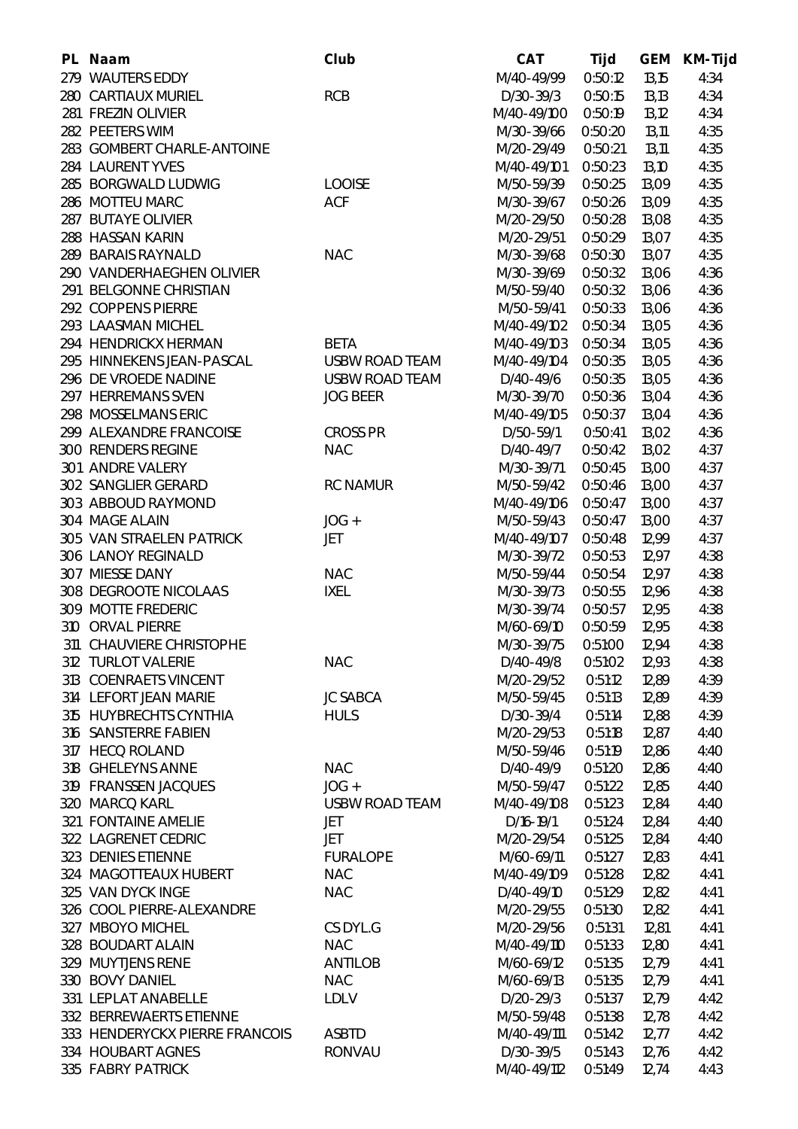| PL Naam                        | <b>Club</b>           | <b>CAT</b>  | Tijd    | <b>GEM</b>     | <b>KM-Tijd</b> |
|--------------------------------|-----------------------|-------------|---------|----------------|----------------|
| 279 WAUTERS EDDY               |                       | M/40-49/99  | 0:50:12 | 13,15          | 4:34           |
| <b>280 CARTIAUX MURIEL</b>     | <b>RCB</b>            | $D/30-39/3$ | 0:50:15 | 13,13          | 4:34           |
| 281 FREZIN OLIVIER             |                       | M/40-49/100 | 0:50:19 | 13,12          | 4:34           |
| 282 PEETERS WIM                |                       | M/30-39/66  | 0:50:20 | 13,11          | 4:35           |
| 283 GOMBERT CHARLE-ANTOINE     |                       | M/20-29/49  | 0:50:21 | 13,11          | 4:35           |
| 284 LAURENT YVES               |                       | M/40-49/101 | 0:50:23 | 13,10          | 4:35           |
| 285 BORGWALD LUDWIG            | <b>LOOISE</b>         | M/50-59/39  | 0:50:25 | 13,09          | 4:35           |
| 286 MOTTEU MARC                | <b>ACF</b>            | M/30-39/67  | 0:50:26 | 13,09          | 4:35           |
| 287 BUTAYE OLIVIER             |                       | M/20-29/50  | 0:50:28 | 13,08          | 4:35           |
| 288 HASSAN KARIN               |                       | M/20-29/51  | 0:50:29 | 13,07          | 4:35           |
| 289 BARAIS RAYNALD             | <b>NAC</b>            | M/30-39/68  | 0:50:30 | 13,07          | 4:35           |
| 290 VANDERHAEGHEN OLIVIER      |                       | M/30-39/69  | 0:50:32 | 13,06          | 4:36           |
| 291 BELGONNE CHRISTIAN         |                       | M/50-59/40  | 0:50:32 | 13,06          | 4:36           |
| 292 COPPENS PIERRE             |                       | M/50-59/41  | 0:50:33 | 13,06          | 4:36           |
| 293 LAASMAN MICHEL             |                       | M/40-49/102 | 0:50:34 | 13,05          | 4:36           |
| 294 HENDRICKX HERMAN           | <b>BETA</b>           | M/40-49/103 | 0:50:34 | 13,05          | 4:36           |
| 295 HINNEKENS JEAN-PASCAL      | <b>USBW ROAD TEAM</b> | M/40-49/104 | 0:50:35 | 13,05          | 4:36           |
| 296 DE VROEDE NADINE           | <b>USBW ROAD TEAM</b> | D/40-49/6   | 0:50:35 | 13,05          | 4:36           |
| 297 HERREMANS SVEN             | <b>JOG BEER</b>       | M/30-39/70  | 0:50:36 | 13,04          | 4:36           |
| 298 MOSSELMANS ERIC            |                       | M/40-49/105 | 0:50:37 | 13,04          | 4:36           |
| 299 ALEXANDRE FRANCOISE        | <b>CROSS PR</b>       | D/50-59/1   | 0:50:41 | 13,02          | 4:36           |
| 300 RENDERS REGINE             | <b>NAC</b>            | D/40-49/7   | 0:50:42 | 13,02          | 4:37           |
| 301 ANDRE VALERY               |                       | M/30-39/71  | 0:50:45 | 13,00          | 4:37           |
| 302 SANGLIER GERARD            | <b>RC NAMUR</b>       | M/50-59/42  | 0:50:46 | 13,00          | 4:37           |
| 303 ABBOUD RAYMOND             |                       | M/40-49/106 | 0:50:47 | 13,00          | 4:37           |
| 304 MAGE ALAIN                 | $JOG +$               | M/50-59/43  | 0:50:47 | 13,00          | 4:37           |
| 305 VAN STRAELEN PATRICK       | <b>JET</b>            | M/40-49/107 | 0:50:48 | 12,99          | 4:37           |
| 306 LANOY REGINALD             |                       | M/30-39/72  | 0:50:53 | 12,97          | 4:38           |
| 307 MIESSE DANY                | <b>NAC</b>            | M/50-59/44  | 0:50:54 | 12,97          | 4:38           |
| 308 DEGROOTE NICOLAAS          | <b>IXEL</b>           | M/30-39/73  | 0:50:55 | 12,96          | 4:38           |
| 309 MOTTE FREDERIC             |                       | M/30-39/74  | 0:50:57 | 12,95          | 4:38           |
| 310 ORVAL PIERRE               |                       | M/60-69/10  | 0:50:59 | 12,95          | 4:38           |
| 311 CHAUVIERE CHRISTOPHE       |                       | M/30-39/75  | 0:51:00 | 12,94          | 4:38           |
| 312 TURLOT VALERIE             | <b>NAC</b>            | D/40-49/8   | 0:51:02 | 12,93          | 4:38           |
| 313 COENRAETS VINCENT          |                       | M/20-29/52  | 0:51:12 | 12,89          | 4:39           |
| 314 LEFORT JEAN MARIE          | <b>JC SABCA</b>       | M/50-59/45  | 0:51:13 | 12,89          | 4:39           |
| 315 HUYBRECHTS CYNTHIA         | <b>HULS</b>           | D/30-39/4   | 0:51:14 | 12,88          | 4:39           |
| 316 SANSTERRE FABIEN           |                       | M/20-29/53  | 0:51:18 | 12,87          | 4:40           |
| 317 HECQ ROLAND                |                       | M/50-59/46  | 0:51:19 | 12,86          | 4:40           |
| 318 GHELEYNS ANNE              | <b>NAC</b>            | D/40-49/9   | 0:51:20 | 12,86          | 4:40           |
| 319 FRANSSEN JACQUES           | JOG +                 | M/50-59/47  | 0:51:22 | 12,85          | 4:40           |
| 320 MARCQ KARL                 | <b>USBW ROAD TEAM</b> | M/40-49/108 | 0:51:23 | 12,84          | 4:40           |
| 321 FONTAINE AMELIE            | <b>JET</b>            | D/16-19/1   | 0:51:24 | 12,84          | 4:40           |
| 322 LAGRENET CEDRIC            | <b>JET</b>            | M/20-29/54  | 0:51:25 | 12,84          | 4:40           |
| 323 DENIES ETIENNE             | <b>FURALOPE</b>       | M/60-69/11  | 0:51:27 | 12,83          | 4:41           |
| 324 MAGOTTEAUX HUBERT          | <b>NAC</b>            | M/40-49/109 | 0:51:28 | 12,82          | 4:41           |
| 325 VAN DYCK INGE              | <b>NAC</b>            | D/40-49/10  | 0:51:29 | 12,82          | 4:41           |
| 326 COOL PIERRE-ALEXANDRE      |                       | M/20-29/55  | 0:51:30 | 12,82          | 4:41           |
| 327 MBOYO MICHEL               | CS DYL.G              | M/20-29/56  | 0:51:31 | 12,81          | 4:41           |
| 328 BOUDART ALAIN              | <b>NAC</b>            | M/40-49/110 | 0:51:33 | 12,80          | 4:41           |
| 329 MUYTJENS RENE              | <b>ANTILOB</b>        | M/60-69/12  | 0:51:35 | 12,79          | 4:41           |
| 330 BOVY DANIEL                | <b>NAC</b>            | M/60-69/13  | 0:51:35 | 12,79          | 4:41           |
| 331 LEPLAT ANABELLE            | <b>LDLV</b>           | $D/20-29/3$ | 0:51:37 | 12,79          | 4:42           |
| 332 BERREWAERTS ETIENNE        |                       | M/50-59/48  | 0:51:38 | 12,78          | 4:42           |
| 333 HENDERYCKX PIERRE FRANCOIS | <b>ASBTD</b>          | M/40-49/111 | 0:51:42 |                | 4:42           |
| 334 HOUBART AGNES              | <b>RONVAU</b>         | D/30-39/5   | 0:51:43 | 12,77<br>12,76 | 4:42           |
| 335 FABRY PATRICK              |                       | M/40-49/112 | 0:51:49 | 12,74          | 4:43           |
|                                |                       |             |         |                |                |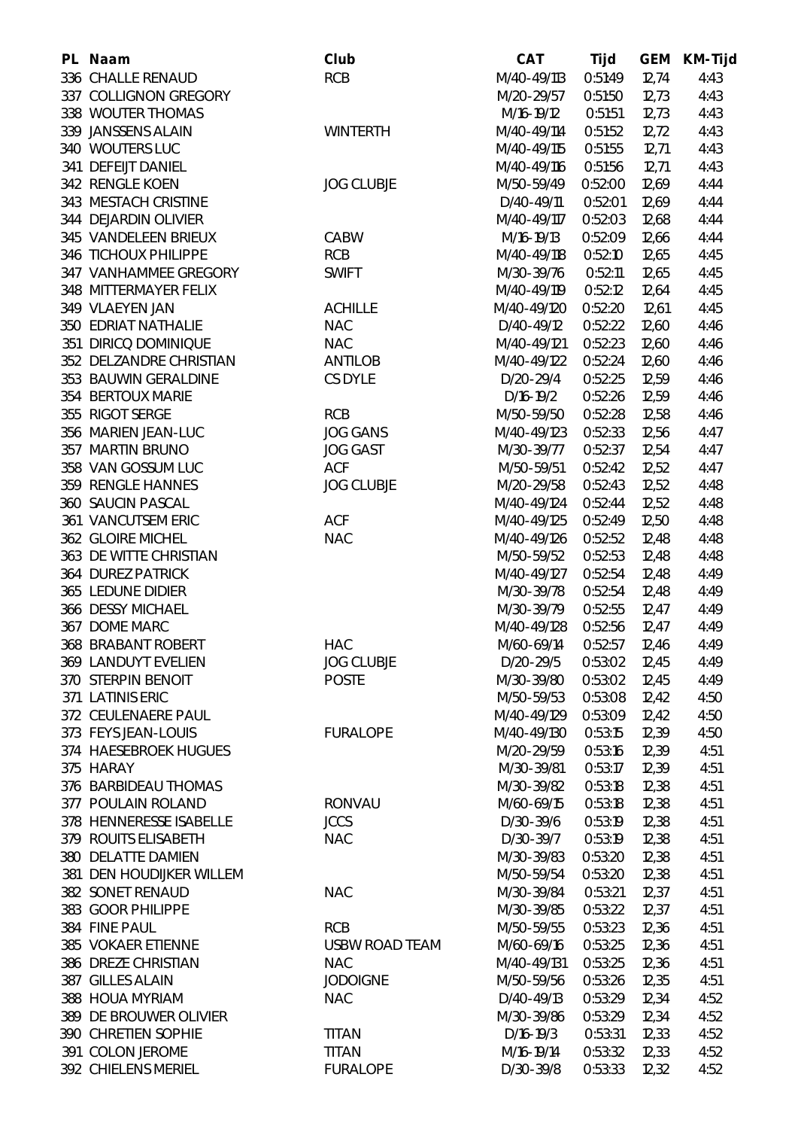| PL Naam                    | Club                  | <b>CAT</b>    | Tijd    | <b>GEM</b> | <b>KM-Tijd</b> |
|----------------------------|-----------------------|---------------|---------|------------|----------------|
| 336 CHALLE RENAUD          | <b>RCB</b>            | M/40-49/113   | 0:51:49 | 12,74      | 4:43           |
| 337 COLLIGNON GREGORY      |                       | M/20-29/57    | 0:51:50 | 12,73      | 4:43           |
| 338 WOUTER THOMAS          |                       | M/16-19/12    | 0:51:51 | 12,73      | 4:43           |
| 339 JANSSENS ALAIN         | <b>WINTERTH</b>       | M/40-49/114   | 0:51:52 | 12,72      | 4:43           |
| 340 WOUTERS LUC            |                       | M/40-49/115   | 0:51:55 | 12,71      | 4:43           |
| 341 DEFEIJT DANIEL         |                       | M/40-49/116   | 0:51:56 | 12,71      | 4:43           |
| 342 RENGLE KOEN            | <b>JOG CLUBJE</b>     | M/50-59/49    | 0:52:00 | 12,69      | 4:44           |
| 343 MESTACH CRISTINE       |                       | D/40-49/11    | 0:52:01 | 12,69      | 4:44           |
| 344 DEJARDIN OLIVIER       |                       | M/40-49/117   | 0:52:03 | 12,68      | 4:44           |
| 345 VANDELEEN BRIEUX       | CABW                  | M/16-19/13    | 0:52:09 | 12,66      | 4:44           |
| 346 TICHOUX PHILIPPE       | <b>RCB</b>            | M/40-49/118   | 0:52:10 | 12,65      | 4:45           |
| 347 VANHAMMEE GREGORY      | <b>SWIFT</b>          | M/30-39/76    | 0:52:11 | 12,65      | 4:45           |
| 348 MITTERMAYER FELIX      |                       | M/40-49/119   | 0:52:12 | 12,64      | 4:45           |
| 349 VLAEYEN JAN            | <b>ACHILLE</b>        | M/40-49/120   | 0:52:20 | 12,61      | 4:45           |
| <b>350 EDRIAT NATHALIE</b> | <b>NAC</b>            | D/40-49/12    | 0:52:22 | 12,60      | 4:46           |
| 351 DIRICQ DOMINIQUE       | <b>NAC</b>            | M/40-49/121   | 0:52:23 | 12,60      | 4:46           |
| 352 DELZANDRE CHRISTIAN    | <b>ANTILOB</b>        | M/40-49/122   | 0:52:24 | 12,60      | 4:46           |
| 353 BAUWIN GERALDINE       | <b>CS DYLE</b>        | D/20-29/4     | 0:52:25 | 12,59      | 4:46           |
| 354 BERTOUX MARIE          |                       | $D/16-19/2$   | 0:52:26 | 12,59      | 4:46           |
| 355 RIGOT SERGE            | <b>RCB</b>            | M/50-59/50    | 0:52:28 | 12,58      | 4:46           |
| 356 MARIEN JEAN-LUC        | <b>JOG GANS</b>       | M/40-49/123   | 0:52:33 | 12,56      | 4:47           |
| 357 MARTIN BRUNO           | <b>JOG GAST</b>       | M/30-39/77    | 0:52:37 | 12,54      | 4:47           |
| 358 VAN GOSSUM LUC         | <b>ACF</b>            | M/50-59/51    | 0:52:42 | 12,52      | 4:47           |
| 359 RENGLE HANNES          | <b>JOG CLUBJE</b>     | M/20-29/58    | 0:52:43 | 12,52      | 4:48           |
| 360 SAUCIN PASCAL          |                       | M/40-49/124   | 0:52:44 | 12,52      | 4:48           |
| 361 VANCUTSEM ERIC         | <b>ACF</b>            | M/40-49/125   | 0:52:49 | 12,50      | 4:48           |
| 362 GLOIRE MICHEL          | <b>NAC</b>            | M/40-49/126   | 0:52:52 | 12,48      | 4:48           |
| 363 DE WITTE CHRISTIAN     |                       | M/50-59/52    | 0:52:53 | 12,48      | 4:48           |
| <b>364 DUREZ PATRICK</b>   |                       | M/40-49/127   | 0:52:54 | 12,48      | 4:49           |
| 365 LEDUNE DIDIER          |                       | M/30-39/78    | 0:52:54 | 12,48      | 4:49           |
| 366 DESSY MICHAEL          |                       | M/30-39/79    | 0:52:55 | 12,47      | 4:49           |
| 367 DOME MARC              |                       | M/40-49/128   | 0:52:56 | 12,47      | 4:49           |
| <b>368 BRABANT ROBERT</b>  | <b>HAC</b>            | M/60-69/14    | 0:52:57 | 12,46      | 4:49           |
| 369 LANDUYT EVELIEN        | <b>JOG CLUBJE</b>     | D/20-29/5     | 0:53:02 | 12,45      | 4:49           |
| 370 STERPIN BENOIT         | <b>POSTE</b>          | M/30-39/80    | 0:53:02 | 12,45      | 4:49           |
| 371 LATINIS ERIC           |                       | M/50-59/53    | 0:53:08 | 12,42      | 4:50           |
| 372 CEULENAERE PAUL        |                       | M/40-49/129   | 0:53:09 | 12,42      | 4:50           |
| 373 FEYS JEAN-LOUIS        | <b>FURALOPE</b>       | M/40-49/130   | 0:53:15 | 12,39      | 4:50           |
| 374 HAESEBROEK HUGUES      |                       | M/20-29/59    | 0:53:16 | 12,39      | 4:51           |
| 375 HARAY                  |                       | M/30-39/81    | 0:53:17 | 12,39      | 4:51           |
| 376 BARBIDEAU THOMAS       |                       | M/30-39/82    | 0:53:18 | 12,38      | 4:51           |
| 377 POULAIN ROLAND         | <b>RONVAU</b>         | M/60-69/15    | 0:53:18 | 12,38      | 4:51           |
| 378 HENNERESSE ISABELLE    | <b>JCCS</b>           | D/30-39/6     | 0:53:19 | 12,38      | 4:51           |
| 379 ROUITS ELISABETH       | <b>NAC</b>            | D/30-39/7     | 0:53:19 | 12,38      | 4:51           |
| 380 DELATTE DAMIEN         |                       | M/30-39/83    | 0:53:20 | 12,38      | 4:51           |
| 381 DEN HOUDIJKER WILLEM   |                       | M/50-59/54    | 0:53:20 | 12,38      | 4:51           |
| 382 SONET RENAUD           | <b>NAC</b>            | M/30-39/84    | 0:53:21 | 12,37      | 4:51           |
| 383 GOOR PHILIPPE          |                       | M/30-39/85    | 0:53:22 | 12,37      | 4:51           |
| 384 FINE PAUL              | <b>RCB</b>            | M/50-59/55    | 0:53:23 | 12,36      | 4:51           |
| 385 VOKAER ETIENNE         | <b>USBW ROAD TEAM</b> | M/60-69/16    | 0:53:25 | 12,36      | 4:51           |
| 386 DREZE CHRISTIAN        | <b>NAC</b>            | M/40-49/131   | 0:53:25 | 12,36      | 4:51           |
| 387 GILLES ALAIN           | <b>JODOIGNE</b>       | M/50-59/56    | 0:53:26 | 12,35      | 4:51           |
| 388 HOUA MYRIAM            | <b>NAC</b>            | D/40-49/13    | 0:53:29 | 12,34      | 4:52           |
| 389 DE BROUWER OLIVIER     |                       | M/30-39/86    | 0:53:29 | 12,34      | 4:52           |
| 390 CHRETIEN SOPHIE        | <b>TITAN</b>          | $D/16 - 19/3$ | 0:53:31 | 12,33      | 4:52           |
| 391 COLON JEROME           | <b>TITAN</b>          | M/16-19/14    | 0:53:32 | 12,33      | 4:52           |
| 392 CHIELENS MERIEL        | <b>FURALOPE</b>       | D/30-39/8     | 0:53:33 | 12,32      | 4:52           |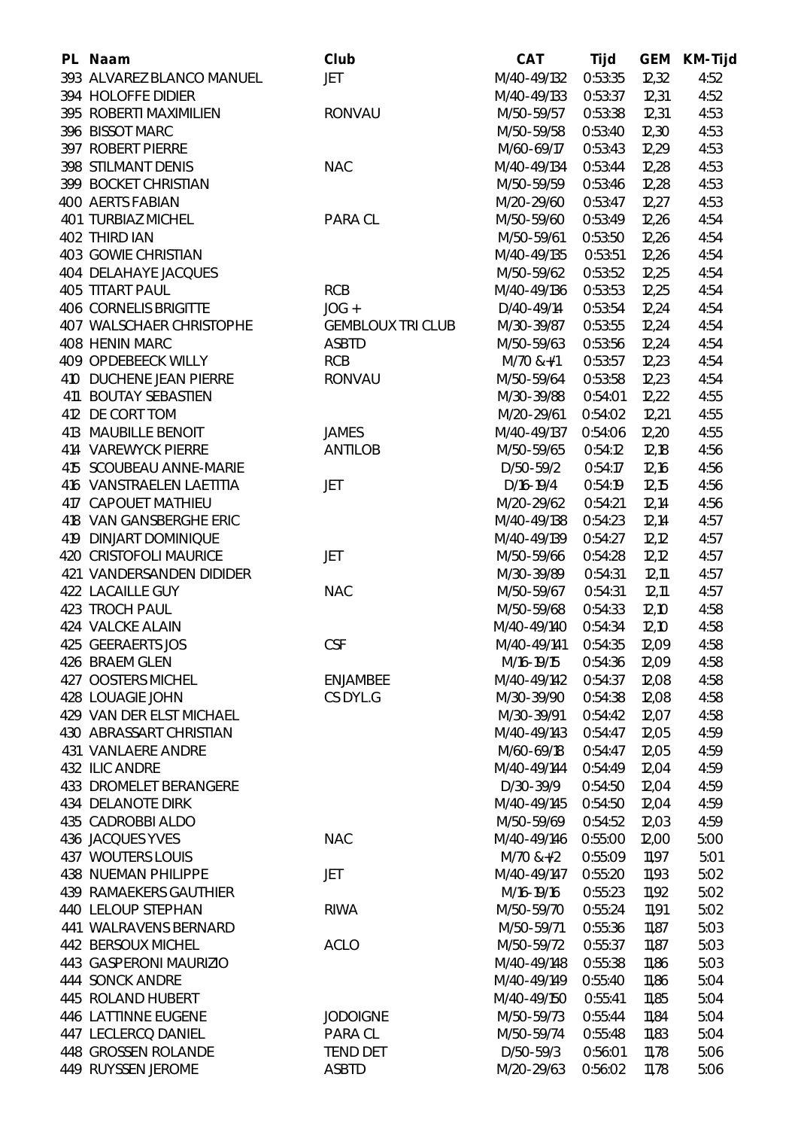| PL Naam                         | Club                     | <b>CAT</b>     | Tijd    |       | <b>GEM KM-Tijd</b> |
|---------------------------------|--------------------------|----------------|---------|-------|--------------------|
| 393 ALVAREZ BLANCO MANUEL       | <b>JET</b>               | M/40-49/132    | 0:53:35 | 12,32 | 4:52               |
| 394 HOLOFFE DIDIER              |                          | M/40-49/133    | 0:53:37 | 12,31 | 4:52               |
| 395 ROBERTI MAXIMILIEN          | <b>RONVAU</b>            | M/50-59/57     | 0:53:38 | 12,31 | 4:53               |
| 396 BISSOT MARC                 |                          | M/50-59/58     | 0:53:40 | 12,30 | 4:53               |
| 397 ROBERT PIERRE               |                          | M/60-69/17     | 0:53:43 | 12,29 | 4:53               |
| 398 STILMANT DENIS              | <b>NAC</b>               | M/40-49/134    | 0:53:44 | 12,28 | 4:53               |
| 399 BOCKET CHRISTIAN            |                          | M/50-59/59     | 0:53:46 | 12,28 | 4:53               |
| <b>400 AERTS FABIAN</b>         |                          | M/20-29/60     | 0:53:47 | 12,27 | 4:53               |
| 401 TURBIAZ MICHEL              | <b>PARA CL</b>           | M/50-59/60     | 0:53:49 | 12,26 | 4:54               |
| 402 THIRD IAN                   |                          | M/50-59/61     | 0:53:50 | 12,26 | 4:54               |
| 403 GOWIE CHRISTIAN             |                          | M/40-49/135    | 0:53:51 | 12,26 | 4:54               |
| <b>404 DELAHAYE JACQUES</b>     |                          | M/50-59/62     | 0:53:52 | 12,25 | 4:54               |
| <b>405 TITART PAUL</b>          | <b>RCB</b>               | M/40-49/136    | 0:53:53 | 12,25 | 4:54               |
| <b>406 CORNELIS BRIGITTE</b>    | $JOG +$                  | D/40-49/14     | 0:53:54 | 12,24 | 4:54               |
| <b>407 WALSCHAER CHRISTOPHE</b> | <b>GEMBLOUX TRI CLUB</b> | M/30-39/87     | 0:53:55 | 12,24 | 4:54               |
| 408 HENIN MARC                  | <b>ASBTD</b>             | M/50-59/63     | 0:53:56 | 12,24 | 4:54               |
| 409 OPDEBEECK WILLY             | <b>RCB</b>               | M/70 &+/1      | 0:53:57 | 12,23 | 4:54               |
| 410 DUCHENE JEAN PIERRE         | <b>RONVAU</b>            | M/50-59/64     | 0:53:58 | 12,23 | 4:54               |
| 411 BOUTAY SEBASTIEN            |                          | M/30-39/88     | 0:54:01 | 12,22 | 4:55               |
| 412 DE CORT TOM                 |                          | M/20-29/61     | 0:54:02 | 12,21 | 4:55               |
| 413 MAUBILLE BENOIT             | <b>JAMES</b>             | M/40-49/137    | 0:54:06 | 12,20 | 4:55               |
| 414 VAREWYCK PIERRE             | <b>ANTILOB</b>           | M/50-59/65     | 0:54:12 | 12,18 | 4:56               |
| 415 SCOUBEAU ANNE-MARIE         |                          | D/50-59/2      | 0:54:17 | 12,16 | 4:56               |
| 416 VANSTRAELEN LAETITIA        | JET                      | D/16-19/4      | 0:54:19 | 12,15 | 4:56               |
| 417 CAPOUET MATHIEU             |                          | M/20-29/62     | 0:54:21 | 12,14 | 4:56               |
| 418 VAN GANSBERGHE ERIC         |                          | M/40-49/138    | 0:54:23 | 12,14 | 4:57               |
| <b>419 DINJART DOMINIQUE</b>    |                          | M/40-49/139    | 0:54:27 | 12,12 | 4:57               |
| 420 CRISTOFOLI MAURICE          | JET                      | M/50-59/66     | 0:54:28 | 12,12 | 4:57               |
| 421 VANDERSANDEN DIDIDER        |                          | M/30-39/89     | 0:54:31 | 12,11 | 4:57               |
| 422 LACAILLE GUY                | <b>NAC</b>               | M/50-59/67     | 0:54:31 | 12,11 | 4:57               |
| 423 TROCH PAUL                  |                          | M/50-59/68     | 0:54:33 | 12,10 | 4:58               |
| 424 VALCKE ALAIN                |                          | M/40-49/140    | 0:54:34 | 12,10 | 4:58               |
| 425 GEERAERTS JOS               | <b>CSF</b>               | M/40-49/141    | 0:54:35 | 12,09 | 4:58               |
| 426 BRAEM GLEN                  |                          | M/16-19/15     | 0:54:36 | 12,09 | 4:58               |
| 427 OOSTERS MICHEL              | <b>ENJAMBEE</b>          | M/40-49/142    | 0:54:37 | 12,08 | 4:58               |
| 428 LOUAGIE JOHN                | CS DYL.G                 | M/30-39/90     | 0:54:38 | 12,08 | 4:58               |
| 429 VAN DER ELST MICHAEL        |                          | M/30-39/91     | 0:54:42 | 12,07 | 4:58               |
| 430 ABRASSART CHRISTIAN         |                          | M/40-49/143    | 0:54:47 | 12,05 | 4:59               |
| <b>431 VANLAERE ANDRE</b>       |                          | M/60-69/18     | 0:54:47 | 12,05 | 4:59               |
| 432 ILIC ANDRE                  |                          | M/40-49/144    | 0:54:49 | 12,04 | 4:59               |
| 433 DROMELET BERANGERE          |                          | D/30-39/9      | 0:54:50 | 12,04 | 4:59               |
| <b>434 DELANOTE DIRK</b>        |                          | M/40-49/145    | 0:54:50 | 12,04 | 4:59               |
| 435 CADROBBI ALDO               |                          | M/50-59/69     | 0:54:52 | 12,03 | 4:59               |
| 436 JACQUES YVES                | <b>NAC</b>               | M/40-49/146    | 0:55:00 | 12,00 | 5:00               |
| <b>437 WOUTERS LOUIS</b>        |                          | $M/70$ &+ $/2$ | 0:55:09 | 11,97 | 5:01               |
| <b>438 NUEMAN PHILIPPE</b>      | JET                      | M/40-49/147    | 0:55:20 | 11,93 | 5:02               |
| <b>439 RAMAEKERS GAUTHIER</b>   |                          | M/16-19/16     | 0:55:23 | 11,92 | 5:02               |
| <b>440 LELOUP STEPHAN</b>       | <b>RIWA</b>              | M/50-59/70     | 0:55:24 | 11,91 | 5:02               |
| 441 WALRAVENS BERNARD           |                          | M/50-59/71     | 0:55:36 | 11,87 | 5:03               |
| 442 BERSOUX MICHEL              | <b>ACLO</b>              | M/50-59/72     | 0:55:37 | 11,87 | 5:03               |
| 443 GASPERONI MAURIZIO          |                          | M/40-49/148    | 0:55:38 | 11,86 | 5:03               |
| 444 SONCK ANDRE                 |                          | M/40-49/149    | 0:55:40 | 11,86 | 5:04               |
| 445 ROLAND HUBERT               |                          | M/40-49/150    | 0:55:41 | 11,85 | 5:04               |
| 446 LATTINNE EUGENE             | <b>JODOIGNE</b>          | M/50-59/73     | 0:55:44 | 11,84 | 5:04               |
| 447 LECLERCQ DANIEL             | PARA CL                  | M/50-59/74     | 0:55:48 | 11,83 | 5:04               |
| 448 GROSSEN ROLANDE             | <b>TEND DET</b>          | D/50-59/3      | 0:56:01 | 11,78 | 5:06               |
| 449 RUYSSEN JEROME              | <b>ASBTD</b>             | M/20-29/63     | 0:56:02 | 11,78 | 5:06               |
|                                 |                          |                |         |       |                    |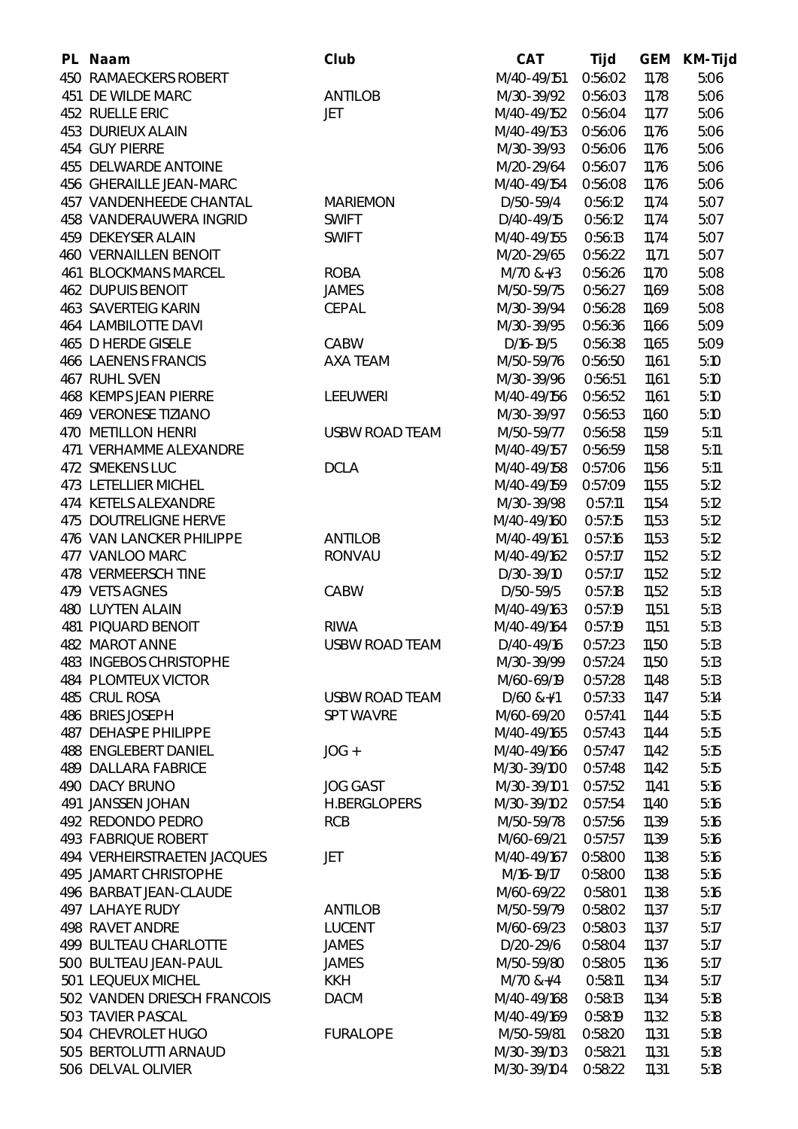| PL Naam                       | Club                  | <b>CAT</b>      | Tijd    | <b>GEM</b> | <b>KM-Tijd</b> |
|-------------------------------|-----------------------|-----------------|---------|------------|----------------|
| <b>450 RAMAECKERS ROBERT</b>  |                       | M/40-49/151     | 0:56:02 | 11,78      | 5:06           |
| 451 DE WILDE MARC             | <b>ANTILOB</b>        | M/30-39/92      | 0:56:03 | 11,78      | 5:06           |
| 452 RUELLE ERIC               | <b>JET</b>            | M/40-49/152     | 0:56:04 | 11,77      | 5:06           |
| <b>453 DURIEUX ALAIN</b>      |                       | M/40-49/153     | 0:56:06 | 11,76      | 5:06           |
| 454 GUY PIERRE                |                       | M/30-39/93      | 0:56:06 | 11,76      | 5:06           |
| 455 DELWARDE ANTOINE          |                       | M/20-29/64      | 0:56:07 | 11,76      | 5:06           |
| 456 GHERAILLE JEAN-MARC       |                       | M/40-49/154     | 0:56:08 | 11,76      | 5:06           |
| 457 VANDENHEEDE CHANTAL       | <b>MARIEMON</b>       | D/50-59/4       | 0:56:12 | 11,74      | 5:07           |
| 458 VANDERAUWERA INGRID       | <b>SWIFT</b>          | D/40-49/15      | 0:56:12 | 11,74      | 5:07           |
| 459 DEKEYSER ALAIN            | <b>SWIFT</b>          | M/40-49/155     | 0:56:13 | 11,74      | 5:07           |
| <b>460 VERNAILLEN BENOIT</b>  |                       | M/20-29/65      | 0:56:22 | 11,71      | 5:07           |
| <b>461 BLOCKMANS MARCEL</b>   | <b>ROBA</b>           | $M/70 & 8 + 13$ | 0:56:26 | 11,70      | 5:08           |
| <b>462 DUPUIS BENOIT</b>      | <b>JAMES</b>          | M/50-59/75      | 0:56:27 | 11,69      | 5:08           |
| <b>463 SAVERTEIG KARIN</b>    | CEPAL                 | M/30-39/94      | 0:56:28 | 11,69      | 5:08           |
| <b>464 LAMBILOTTE DAVI</b>    |                       | M/30-39/95      | 0:56:36 | 11,66      | 5:09           |
| 465 D HERDE GISELE            | CABW                  | D/16-19/5       | 0:56:38 | 11,65      | 5:09           |
| <b>466 LAENENS FRANCIS</b>    | <b>AXA TEAM</b>       | M/50-59/76      | 0:56:50 | 11,61      | 5:10           |
| 467 RUHL SVEN                 |                       | M/30-39/96      | 0:56:51 | 11,61      | 5:10           |
| <b>468 KEMPS JEAN PIERRE</b>  | <b>LEEUWERI</b>       | M/40-49/156     | 0:56:52 | 11,61      | 5:10           |
| <b>469 VERONESE TIZIANO</b>   |                       | M/30-39/97      | 0:56:53 | 11,60      | 5:10           |
| 470 METILLON HENRI            | <b>USBW ROAD TEAM</b> | M/50-59/77      | 0:56:58 | 11,59      | 5:11           |
| 471 VERHAMME ALEXANDRE        |                       | M/40-49/157     | 0:56:59 | 11,58      | 5:11           |
| 472 SMEKENS LUC               | <b>DCLA</b>           | M/40-49/158     | 0:57:06 | 11,56      | 5:11           |
| 473 LETELLIER MICHEL          |                       | M/40-49/159     | 0:57:09 | 11,55      | 5:12           |
| 474 KETELS ALEXANDRE          |                       | M/30-39/98      | 0:57:11 | 11,54      | 5:12           |
| 475 DOUTRELIGNE HERVE         |                       | M/40-49/160     | 0:57:15 | 11,53      | 5:12           |
| 476 VAN LANCKER PHILIPPE      | <b>ANTILOB</b>        | M/40-49/161     | 0:57:16 | 11,53      | 5:12           |
| 477 VANLOO MARC               | <b>RONVAU</b>         | M/40-49/162     | 0:57:17 | 11,52      | 5:12           |
| 478 VERMEERSCH TINE           |                       | D/30-39/10      | 0:57:17 | 11,52      | 5:12           |
| 479 VETS AGNES                | CABW                  | D/50-59/5       | 0:57:18 | 11,52      | 5:13           |
| <b>480 LUYTEN ALAIN</b>       |                       | M/40-49/163     | 0:57:19 | 11,51      | 5:13           |
| 481 PIQUARD BENOIT            | <b>RIWA</b>           | M/40-49/164     | 0:57:19 | 11,51      | 5:13           |
| <b>482 MAROT ANNE</b>         | <b>USBW ROAD TEAM</b> | D/40-49/16      | 0:57:23 | 11,50      | 5:13           |
| <b>483 INGEBOS CHRISTOPHE</b> |                       | M/30-39/99      | 0:57:24 | 11,50      | 5:13           |
| <b>484 PLOMTEUX VICTOR</b>    |                       | M/60-69/19      | 0:57:28 | 11,48      | 5:13           |
| 485 CRUL ROSA                 | <b>USBW ROAD TEAM</b> | $D/60$ &+/1     | 0:57:33 | 11,47      | 5:14           |
| 486 BRIES JOSEPH              | <b>SPT WAVRE</b>      | M/60-69/20      | 0:57:41 | 11,44      | 5:15           |
| <b>487 DEHASPE PHILIPPE</b>   |                       | M/40-49/165     | 0:57:43 | 11,44      | 5:15           |
| <b>488 ENGLEBERT DANIEL</b>   | $JOG +$               | M/40-49/166     | 0:57:47 | 11,42      | 5:15           |
| <b>489 DALLARA FABRICE</b>    |                       | M/30-39/100     | 0:57:48 | 11,42      | 5:15           |
| 490 DACY BRUNO                | <b>JOG GAST</b>       | M/30-39/101     | 0:57:52 | 11,41      | 5:16           |
| 491 JANSSEN JOHAN             | <b>H.BERGLOPERS</b>   | M/30-39/102     | 0:57:54 | 11,40      | 5:16           |
| 492 REDONDO PEDRO             | <b>RCB</b>            | M/50-59/78      | 0:57:56 | 11,39      | 5:16           |
| <b>493 FABRIQUE ROBERT</b>    |                       | M/60-69/21      | 0:57:57 | 11,39      | 5:16           |
| 494 VERHEIRSTRAETEN JACQUES   | JET                   | M/40-49/167     | 0:58:00 | 11,38      | 5:16           |
| 495 JAMART CHRISTOPHE         |                       | M/16-19/17      | 0:58:00 | 11,38      | 5:16           |
| 496 BARBAT JEAN-CLAUDE        |                       | M/60-69/22      | 0:58:01 | 11,38      | 5:16           |
| <b>497 LAHAYE RUDY</b>        | <b>ANTILOB</b>        | M/50-59/79      | 0:58:02 | 11,37      | 5:17           |
| <b>498 RAVET ANDRE</b>        | <b>LUCENT</b>         | M/60-69/23      | 0:58:03 | 11,37      | 5:17           |
| 499 BULTEAU CHARLOTTE         | <b>JAMES</b>          | D/20-29/6       | 0:58:04 | 11,37      | 5:17           |
| 500 BULTEAU JEAN-PAUL         | <b>JAMES</b>          | M/50-59/80      | 0:58:05 | 11,36      | 5:17           |
| 501 LEQUEUX MICHEL            | <b>KKH</b>            | $M/70$ &+/4     | 0:58:11 | 11,34      | 5:17           |
| 502 VANDEN DRIESCH FRANCOIS   | <b>DACM</b>           | M/40-49/168     | 0:58:13 | 11,34      | 5:18           |
| 503 TAVIER PASCAL             |                       | M/40-49/169     | 0:58:19 | 11,32      | 5:18           |
| 504 CHEVROLET HUGO            | <b>FURALOPE</b>       | M/50-59/81      | 0:58:20 | 11,31      | 5:18           |
| 505 BERTOLUTTI ARNAUD         |                       | M/30-39/103     | 0:58:21 | 11,31      | 5:18           |
| 506 DELVAL OLIVIER            |                       | M/30-39/104     | 0:58:22 | 11,31      | 5:18           |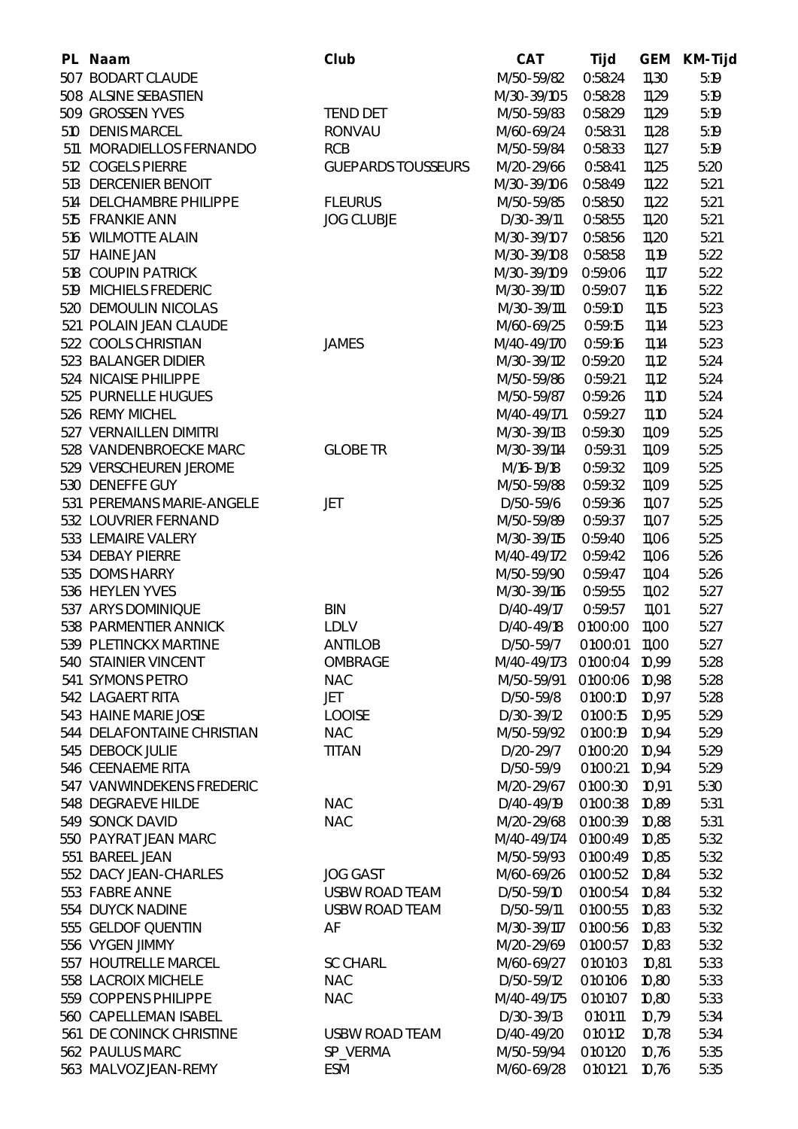| PL. | <b>Naam</b>                                 | Club                      | <b>CAT</b>                 | <b>Tijd</b> | <b>GEM</b> | <b>KM-Tijd</b> |
|-----|---------------------------------------------|---------------------------|----------------------------|-------------|------------|----------------|
| 507 | <b>BODART CLAUDE</b>                        |                           | M/50-59/82                 | 0:58:24     | 11,30      | 5:19           |
|     | 508 ALSINE SEBASTIEN                        |                           | M/30-39/105                | 0:58:28     | 11,29      | 5:19           |
|     | 509 GROSSEN YVES                            | <b>TEND DET</b>           | M/50-59/83                 | 0:58:29     | 11,29      | 5:19           |
|     | 510 DENIS MARCEL                            | <b>RONVAU</b>             | M/60-69/24                 | 0:58:31     | 11,28      | 5:19           |
| 511 | MORADIELLOS FERNANDO                        | <b>RCB</b>                | M/50-59/84                 | 0:58:33     | 11,27      | 5:19           |
|     | 512 COGELS PIERRE                           | <b>GUEPARDS TOUSSEURS</b> | M/20-29/66                 | 0:58:41     | 11,25      | 5:20           |
|     | 513 DERCENIER BENOIT                        |                           | M/30-39/106                | 0:58:49     | 11,22      | 5:21           |
|     | 514 DELCHAMBRE PHILIPPE                     | <b>FLEURUS</b>            | M/50-59/85                 | 0:58:50     | 11,22      | 5:21           |
|     | 515 FRANKIE ANN                             | <b>JOG CLUBJE</b>         | D/30-39/11                 | 0:58:55     | 11,20      | 5:21           |
|     | 516 WILMOTTE ALAIN                          |                           | M/30-39/107                | 0:58:56     | 11,20      | 5:21           |
|     | 517 HAINE JAN                               |                           | M/30-39/108                | 0:58:58     | 11,19      | 5:22           |
|     | 518 COUPIN PATRICK                          |                           | M/30-39/109                | 0:59:06     | 11,17      | 5:22           |
|     | 519 MICHIELS FREDERIC                       |                           | M/30-39/110                | 0:59:07     | 11,16      | 5:22           |
|     | 520 DEMOULIN NICOLAS                        |                           | M/30-39/111                | 0:59:10     | 11,15      | 5:23           |
|     | 521 POLAIN JEAN CLAUDE                      |                           | M/60-69/25                 | 0:59:15     | 11,14      | 5:23           |
|     | 522 COOLS CHRISTIAN                         | <b>JAMES</b>              | M/40-49/170                | 0:59:16     | 11,14      | 5:23           |
|     | 523 BALANGER DIDIER                         |                           | M/30-39/112                | 0:59:20     | 11,12      | 5:24           |
|     | 524 NICAISE PHILIPPE                        |                           | M/50-59/86                 | 0:59:21     | 11,12      | 5:24           |
|     | 525 PURNELLE HUGUES                         |                           | M/50-59/87                 | 0:59:26     | 11,10      | 5:24           |
|     | 526 REMY MICHEL                             |                           | M/40-49/171                | 0:59:27     | 11,10      | 5:24           |
|     | 527 VERNAILLEN DIMITRI                      |                           | M/30-39/113                | 0:59:30     | 11,09      | 5:25           |
|     | 528 VANDENBROECKE MARC                      | <b>GLOBE TR</b>           | M/30-39/114                | 0:59:31     | 11,09      | 5:25           |
|     | 529 VERSCHEUREN JEROME                      |                           | M/16-19/18                 | 0:59:32     | 11,09      | 5:25           |
|     | 530 DENEFFE GUY                             |                           | M/50-59/88                 | 0:59:32     | 11,09      | 5:25           |
|     | 531 PEREMANS MARIE-ANGELE                   | JET                       | D/50-59/6                  | 0:59:36     | 11,07      | 5:25           |
|     | 532 LOUVRIER FERNAND                        |                           | M/50-59/89                 | 0:59:37     | 11,07      | 5:25           |
|     | 533 LEMAIRE VALERY                          |                           | M/30-39/115                | 0:59:40     | 11,06      | 5:25           |
|     | 534 DEBAY PIERRE                            |                           | M/40-49/172                | 0:59:42     | 11,06      | 5:26           |
|     | 535 DOMS HARRY                              |                           | M/50-59/90                 | 0:59:47     | 11,04      | 5:26           |
|     | 536 HEYLEN YVES                             |                           | M/30-39/116                | 0:59:55     | 11,02      | 5:27           |
|     | 537 ARYS DOMINIQUE                          | <b>BIN</b>                | D/40-49/17                 | 0:59:57     | 11,01      | 5:27           |
|     | 538 PARMENTIER ANNICK                       | <b>LDLV</b>               | D/40-49/18                 | 01:00:00    | 11,00      | 5:27           |
|     | 539 PLETINCKX MARTINE                       | <b>ANTILOB</b>            | D/50-59/7                  | 01:00:01    | 11,00      | 5:27           |
|     | 540 STAINIER VINCENT                        | <b>OMBRAGE</b>            | M/40-49/173 01:00:04 10,99 |             |            | 5:28           |
|     | 541 SYMONS PETRO                            | <b>NAC</b>                | M/50-59/91                 | 01:00:06    | 10,98      | 5:28           |
|     | 542 LAGAERT RITA                            | <b>JET</b>                | D/50-59/8                  | 01:00:10    | 10,97      | 5:28           |
|     | 543 HAINE MARIE JOSE                        | <b>LOOISE</b>             | D/30-39/12                 | 01:00:15    | 10,95      | 5:29           |
|     | 544 DELAFONTAINE CHRISTIAN                  | <b>NAC</b>                | M/50-59/92                 | 01:00:19    | 10,94      | 5:29           |
|     | 545 DEBOCK JULIE                            | <b>TITAN</b>              | D/20-29/7                  | 01:00:20    | 10,94      | 5:29           |
|     | 546 CEENAEME RITA                           |                           | D/50-59/9                  | 01:00:21    | 10,94      | 5:29           |
|     | 547 VANWINDEKENS FREDERIC                   |                           | M/20-29/67                 | 01:00:30    | 10,91      | 5:30           |
|     | 548 DEGRAEVE HILDE                          | <b>NAC</b>                | D/40-49/19                 | 01:00:38    | 10,89      | 5:31           |
|     | 549 SONCK DAVID                             | <b>NAC</b>                | M/20-29/68                 | 01:00:39    | 10,88      | 5:31           |
|     | 550 PAYRAT JEAN MARC                        |                           | M/40-49/174                | 01:00:49    | 10,85      | 5:32           |
|     | 551 BAREEL JEAN                             |                           | M/50-59/93                 | 01:00:49    | 10,85      | 5:32           |
|     | 552 DACY JEAN-CHARLES                       | <b>JOG GAST</b>           | M/60-69/26                 | 01:00:52    | 10,84      | 5:32           |
|     | 553 FABRE ANNE                              | <b>USBW ROAD TEAM</b>     | D/50-59/10                 | 01:00:54    | 10,84      | 5:32           |
|     | 554 DUYCK NADINE                            | <b>USBW ROAD TEAM</b>     | D/50-59/11                 | 01:00:55    | 10,83      | 5:32           |
|     | 555 GELDOF QUENTIN                          | AF                        | M/30-39/117                | 01:00:56    | 10,83      | 5:32           |
|     | 556 VYGEN JIMMY                             |                           | M/20-29/69                 | 01:00:57    | 10,83      | 5:32           |
|     | 557 HOUTRELLE MARCEL                        | <b>SC CHARL</b>           | M/60-69/27                 | 01:01:03    | 10,81      | 5:33           |
|     | 558 LACROIX MICHELE                         | <b>NAC</b>                | D/50-59/12                 | 01:01:06    | 10,80      | 5:33           |
|     | 559 COPPENS PHILIPPE                        | <b>NAC</b>                | M/40-49/175                | 01:01:07    |            | 5:33           |
|     | 560 CAPELLEMAN ISABEL                       |                           | D/30-39/13                 | 01:01:11    | 10,80      | 5:34           |
|     |                                             |                           |                            |             | 10,79      |                |
|     | 561 DE CONINCK CHRISTINE<br>562 PAULUS MARC | <b>USBW ROAD TEAM</b>     | D/40-49/20                 | 01:01:12    | 10,78      | 5:34           |
|     |                                             | SP_VERMA                  | M/50-59/94                 | 01:01:20    | 10,76      | 5:35           |
|     | 563 MALVOZ JEAN-REMY                        | <b>ESM</b>                | M/60-69/28                 | 01:01:21    | 10,76      | 5:35           |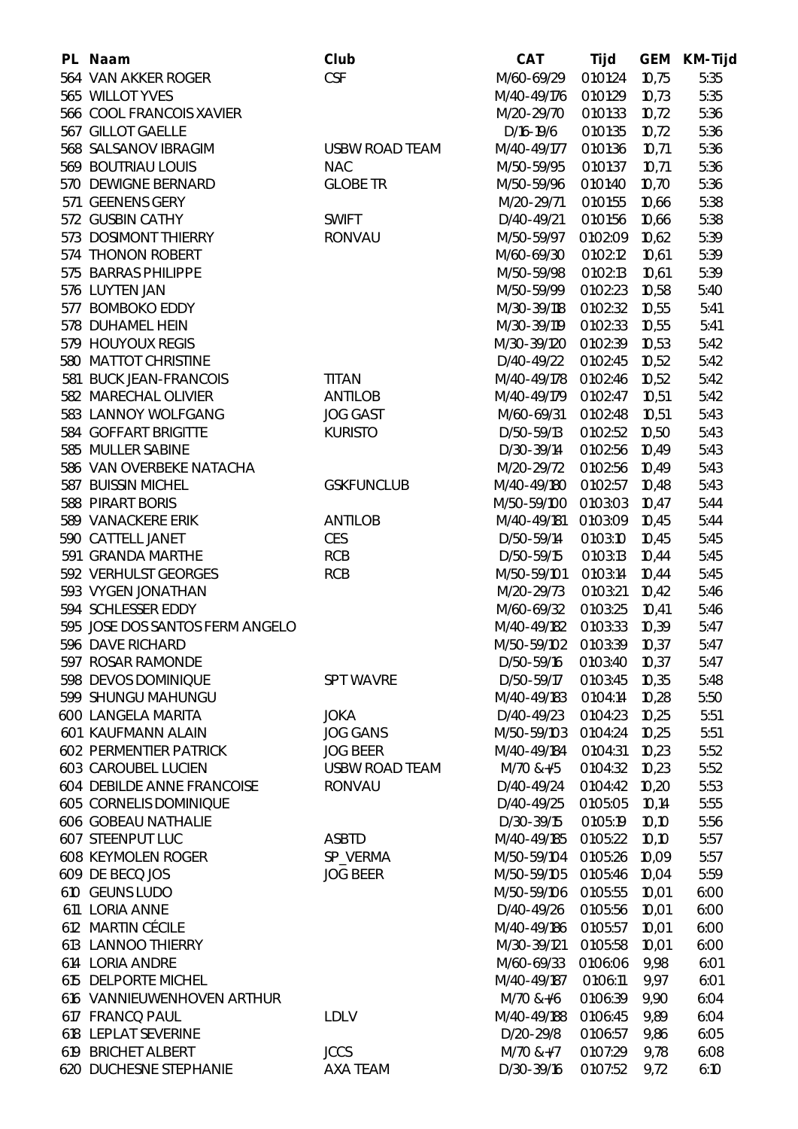| PL Naam                           | <b>Club</b>           | <b>CAT</b>     | Tijd     | <b>GEM</b> | <b>KM-Tijd</b> |
|-----------------------------------|-----------------------|----------------|----------|------------|----------------|
| 564 VAN AKKER ROGER               | <b>CSF</b>            | M/60-69/29     | 01:01:24 | 10,75      | 5:35           |
| 565 WILLOT YVES                   |                       | M/40-49/176    | 01:01:29 | 10,73      | 5:35           |
| 566 COOL FRANCOIS XAVIER          |                       | M/20-29/70     | 01:01:33 | 10,72      | 5:36           |
| 567 GILLOT GAELLE                 |                       | D/16-19/6      | 01:01:35 | 10,72      | 5:36           |
| 568 SALSANOV IBRAGIM              | <b>USBW ROAD TEAM</b> | M/40-49/177    | 01:01:36 | 10,71      | 5:36           |
| 569 BOUTRIAU LOUIS                | <b>NAC</b>            | M/50-59/95     | 01:01:37 | 10,71      | 5:36           |
| 570 DEWIGNE BERNARD               | <b>GLOBE TR</b>       | M/50-59/96     | 01:01:40 | 10,70      | 5:36           |
| 571 GEENENS GERY                  |                       | M/20-29/71     | 01:01:55 | 10,66      | 5:38           |
| 572 GUSBIN CATHY                  | <b>SWIFT</b>          | D/40-49/21     | 01:01:56 | 10,66      | 5:38           |
| 573 DOSIMONT THIERRY              | <b>RONVAU</b>         | M/50-59/97     | 01:02:09 | 10,62      | 5:39           |
| 574 THONON ROBERT                 |                       | M/60-69/30     | 01:02:12 | 10,61      | 5:39           |
| 575 BARRAS PHILIPPE               |                       | M/50-59/98     | 01:02:13 | 10,61      | 5:39           |
| 576 LUYTEN JAN                    |                       | M/50-59/99     | 01:02:23 | 10,58      | 5:40           |
| 577 BOMBOKO EDDY                  |                       | M/30-39/118    | 01:02:32 | 10,55      | 5:41           |
| 578 DUHAMEL HEIN                  |                       | M/30-39/119    | 01:02:33 | 10,55      | 5:41           |
| 579 HOUYOUX REGIS                 |                       | M/30-39/120    | 01:02:39 | 10,53      | 5:42           |
| 580 MATTOT CHRISTINE              |                       | D/40-49/22     | 01:02:45 | 10,52      | 5:42           |
| 581 BUCK JEAN-FRANCOIS            | <b>TITAN</b>          | M/40-49/178    | 01:02:46 | 10,52      | 5:42           |
| 582 MARECHAL OLIVIER              | <b>ANTILOB</b>        | M/40-49/179    | 01:02:47 | 10,51      | 5:42           |
| 583 LANNOY WOLFGANG               | <b>JOG GAST</b>       | M/60-69/31     | 01:02:48 | 10,51      | 5:43           |
| 584 GOFFART BRIGITTE              | <b>KURISTO</b>        | D/50-59/13     | 01:02:52 | 10,50      | 5:43           |
| 585 MULLER SABINE                 |                       | D/30-39/14     | 01:02:56 | 10,49      | 5:43           |
| 586 VAN OVERBEKE NATACHA          |                       | M/20-29/72     | 01:02:56 | 10,49      | 5:43           |
| 587 BUISSIN MICHEL                | <b>GSKFUNCLUB</b>     | M/40-49/180    | 01:02:57 | 10,48      | 5:43           |
| 588 PIRART BORIS                  |                       | M/50-59/100    | 01:03:03 | 10,47      | 5:44           |
| 589 VANACKERE ERIK                | <b>ANTILOB</b>        | M/40-49/181    | 01:03:09 | 10,45      | 5:44           |
| 590 CATTELL JANET                 | <b>CES</b>            | D/50-59/14     | 01:03:10 | 10,45      | 5:45           |
| 591 GRANDA MARTHE                 | <b>RCB</b>            | D/50-59/15     | 01:03:13 | 10,44      | 5:45           |
| 592 VERHULST GEORGES              | <b>RCB</b>            | M/50-59/101    | 01:03:14 | 10,44      | 5:45           |
| 593 VYGEN JONATHAN                |                       | M/20-29/73     | 01:03:21 | 10,42      | 5:46           |
| 594 SCHLESSER EDDY                |                       | M/60-69/32     | 01:03:25 | 10,41      | 5:46           |
| 595 JOSE DOS SANTOS FERM ANGELO   |                       | M/40-49/182    | 01:03:33 | 10,39      | 5:47           |
| 596 DAVE RICHARD                  |                       | M/50-59/102    | 01:03:39 | 10,37      | 5:47           |
| 597 ROSAR RAMONDE                 |                       | D/50-59/16     | 01:03:40 | 10,37      | 5:47           |
| 598 DEVOS DOMINIQUE               | <b>SPT WAVRE</b>      | D/50-59/17     | 01:03:45 | 10,35      | 5:48           |
| 599 SHUNGU MAHUNGU                |                       | M/40-49/183    | 01:04:14 | 10,28      | 5:50           |
| <b>600 LANGELA MARITA</b>         | <b>JOKA</b>           | D/40-49/23     | 01:04:23 | 10,25      | 5:51           |
| 601 KAUFMANN ALAIN                | <b>JOG GANS</b>       | M/50-59/103    | 01:04:24 | 10,25      | 5:51           |
| <b>602 PERMENTIER PATRICK</b>     | <b>JOG BEER</b>       | M/40-49/184    | 01:04:31 | 10,23      | 5:52           |
| <b>603 CAROUBEL LUCIEN</b>        | <b>USBW ROAD TEAM</b> | $M/70$ &+ $/5$ | 01:04:32 | 10,23      | 5:52           |
| <b>604 DEBILDE ANNE FRANCOISE</b> | <b>RONVAU</b>         | D/40-49/24     | 01:04:42 | 10,20      | 5:53           |
| <b>605 CORNELIS DOMINIQUE</b>     |                       | D/40-49/25     | 01:05:05 | 10,14      | 5:55           |
| <b>606 GOBEAU NATHALIE</b>        |                       | D/30-39/15     | 01:05:19 | 10,10      | 5:56           |
| <b>607 STEENPUT LUC</b>           | <b>ASBTD</b>          | M/40-49/185    | 01:05:22 | 10,10      | 5:57           |
| <b>608 KEYMOLEN ROGER</b>         | SP_VERMA              | M/50-59/104    | 01:05:26 | 10,09      | 5:57           |
| 609 DE BECQ JOS                   | <b>JOG BEER</b>       | M/50-59/105    | 01:05:46 | 10,04      | 5:59           |
| 610 GEUNS LUDO                    |                       | M/50-59/106    | 01:05:55 | 10,01      | 6:00           |
| 611 LORIA ANNE                    |                       | D/40-49/26     | 01:05:56 | 10,01      | 6:00           |
| 612 MARTIN CÉCILE                 |                       | M/40-49/186    | 01:05:57 | 10,01      | 6:00           |
| 613 LANNOO THIERRY                |                       | M/30-39/121    | 01:05:58 | 10,01      | 6:00           |
| 614 LORIA ANDRE                   |                       | M/60-69/33     | 01:06:06 | 9,98       | 6:01           |
| 615 DELPORTE MICHEL               |                       | M/40-49/187    | 01:06:11 | 9,97       | 6:01           |
| 616 VANNIEUWENHOVEN ARTHUR        |                       | M/70 &+/6      | 01:06:39 | 9,90       | 6:04           |
| 617 FRANCQ PAUL                   | <b>LDLV</b>           | M/40-49/188    | 01:06:45 | 9,89       | 6:04           |
| 618 LEPLAT SEVERINE               |                       | D/20-29/8      | 01:06:57 | 9,86       | 6:05           |
| 619 BRICHET ALBERT                | <b>JCCS</b>           | M/70 &+/7      | 01:07:29 | 9,78       | 6:08           |
| <b>620 DUCHESNE STEPHANIE</b>     | <b>AXA TEAM</b>       | D/30-39/16     | 01:07:52 | 9,72       | 6:10           |